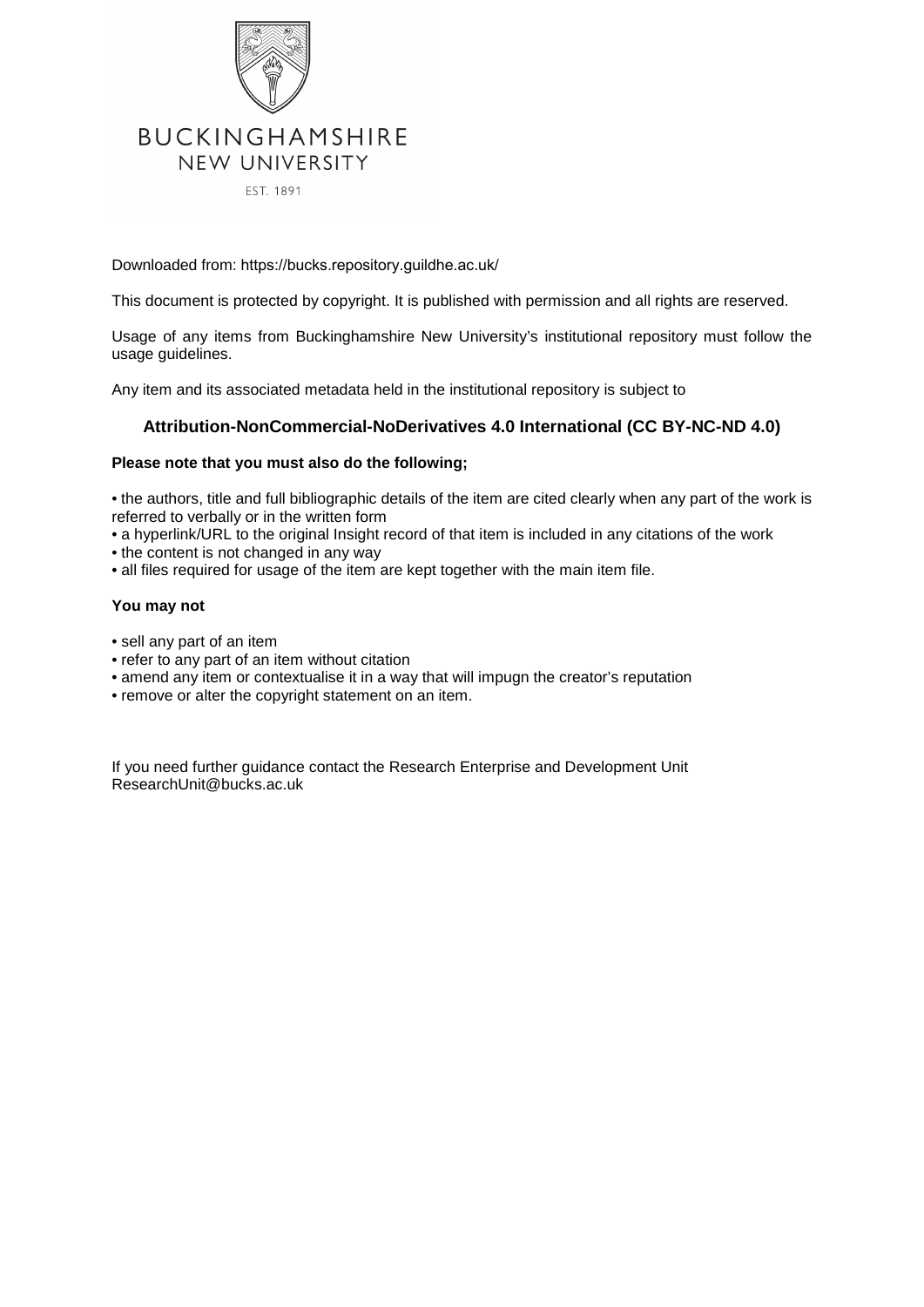

EST. 1891

Downloaded from: https://bucks.repository.guildhe.ac.uk/

This document is protected by copyright. It is published with permission and all rights are reserved.

Usage of any items from Buckinghamshire New University's institutional repository must follow the usage guidelines.

Any item and its associated metadata held in the institutional repository is subject to

#### **Attribution-NonCommercial-NoDerivatives 4.0 International (CC BY-NC-ND 4.0)**

#### **Please note that you must also do the following;**

• the authors, title and full bibliographic details of the item are cited clearly when any part of the work is referred to verbally or in the written form

• a hyperlink/URL to the original Insight record of that item is included in any citations of the work

- the content is not changed in any way
- all files required for usage of the item are kept together with the main item file.

#### **You may not**

- sell any part of an item
- refer to any part of an item without citation
- amend any item or contextualise it in a way that will impugn the creator's reputation
- remove or alter the copyright statement on an item.

If you need further guidance contact the Research Enterprise and Development Unit ResearchUnit@bucks.ac.uk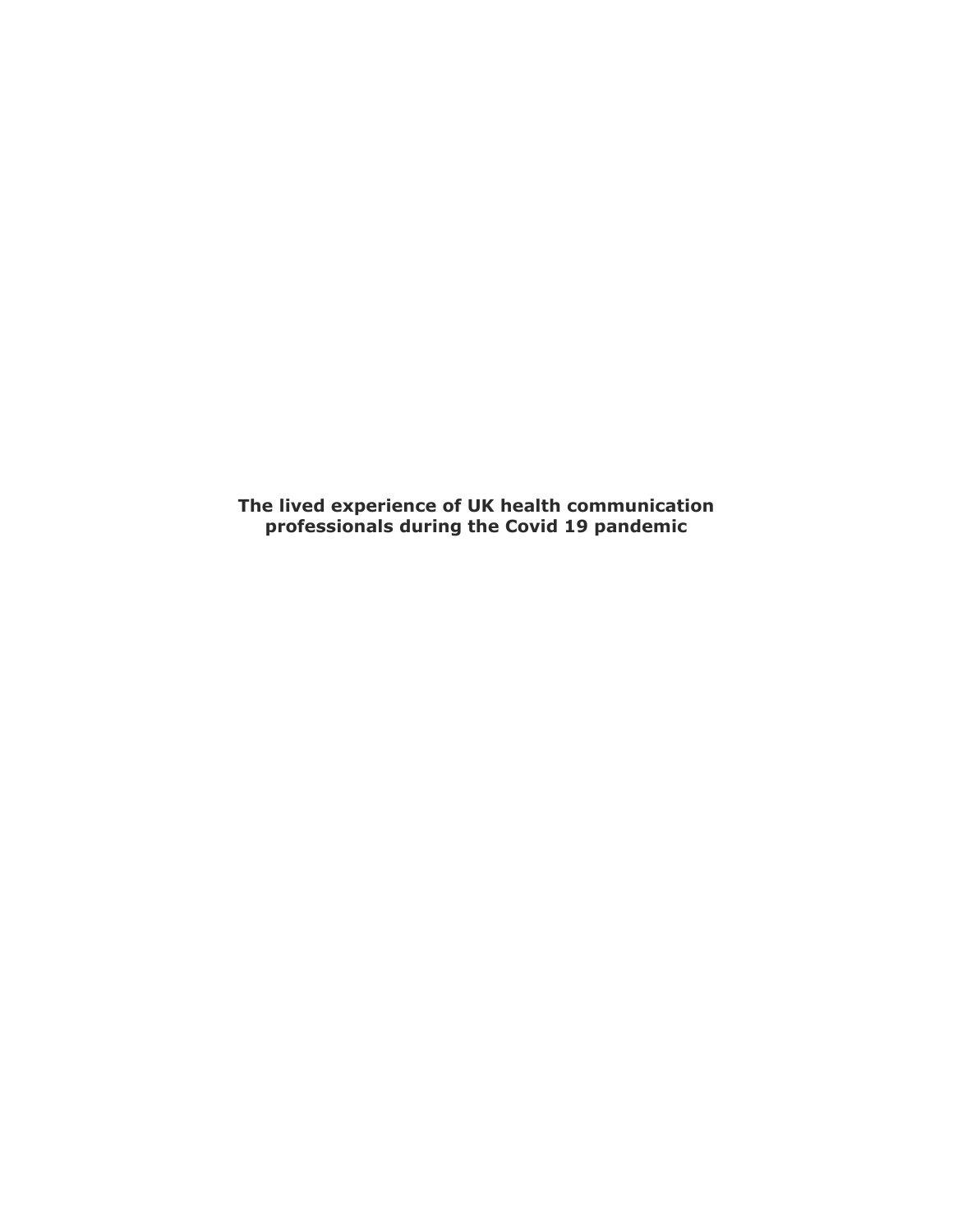**The lived experience of UK health communication professionals during the Covid 19 pandemic**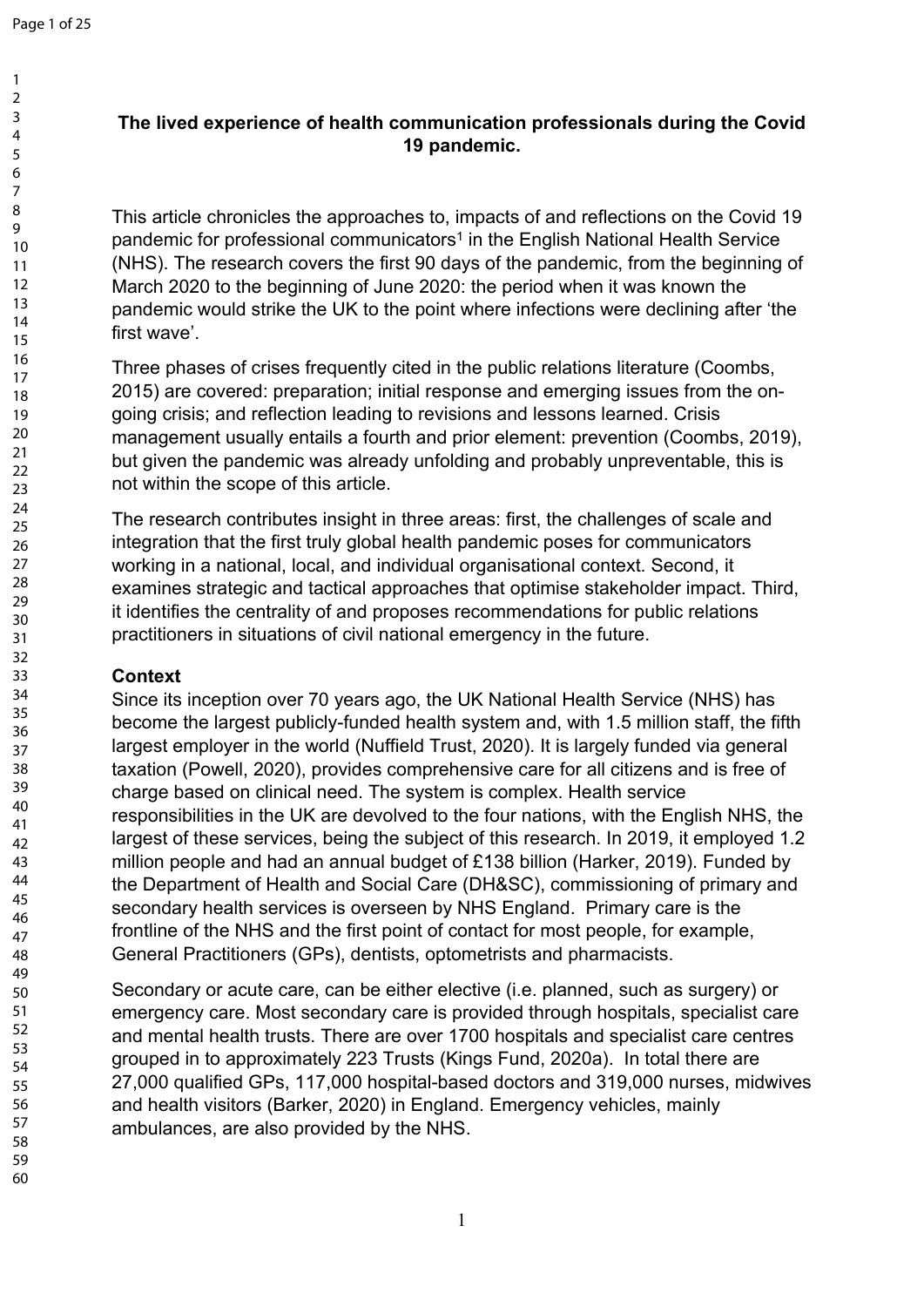# **The lived experience of health communication professionals during the Covid 19 pandemic.**

This article chronicles the approaches to, impacts of and reflections on the Covid 19 pandemic for professional communicators<sup>1</sup> in the English National Health Service (NHS). The research covers the first 90 days of the pandemic, from the beginning of March 2020 to the beginning of June 2020: the period when it was known the pandemic would strike the UK to the point where infections were declining after 'the first wave'.

Three phases of crises frequently cited in the public relations literature (Coombs, 2015) are covered: preparation; initial response and emerging issues from the ongoing crisis; and reflection leading to revisions and lessons learned. Crisis management usually entails a fourth and prior element: prevention (Coombs, 2019), but given the pandemic was already unfolding and probably unpreventable, this is not within the scope of this article.

The research contributes insight in three areas: first, the challenges of scale and integration that the first truly global health pandemic poses for communicators working in a national, local, and individual organisational context. Second, it examines strategic and tactical approaches that optimise stakeholder impact. Third, it identifies the centrality of and proposes recommendations for public relations practitioners in situations of civil national emergency in the future.

## **Context**

Since its inception over 70 years ago, the UK National Health Service (NHS) has become the largest publicly-funded health system and, with 1.5 million staff, the fifth largest employer in the world (Nuffield Trust, 2020). It is largely funded via general taxation (Powell, 2020), provides comprehensive care for all citizens and is free of charge based on clinical need. The system is complex. Health service responsibilities in the UK are devolved to the four nations, with the English NHS, the largest of these services, being the subject of this research. In 2019, it employed 1.2 million people and had an annual budget of £138 billion (Harker, 2019). Funded by the Department of Health and Social Care (DH&SC), commissioning of primary and secondary health services is overseen by NHS England. Primary care is the frontline of the NHS and the first point of contact for most people, for example, General Practitioners (GPs), dentists, optometrists and pharmacists.

Secondary or acute care, can be either elective (i.e. planned, such as surgery) or emergency care. Most secondary care is provided through hospitals, specialist care and mental health trusts. There are over 1700 hospitals and specialist care centres grouped in to approximately 223 Trusts (Kings Fund, 2020a). In total there are 27,000 qualified GPs, 117,000 hospital-based doctors and 319,000 nurses, midwives and health visitors (Barker, 2020) in England. Emergency vehicles, mainly ambulances, are also provided by the NHS.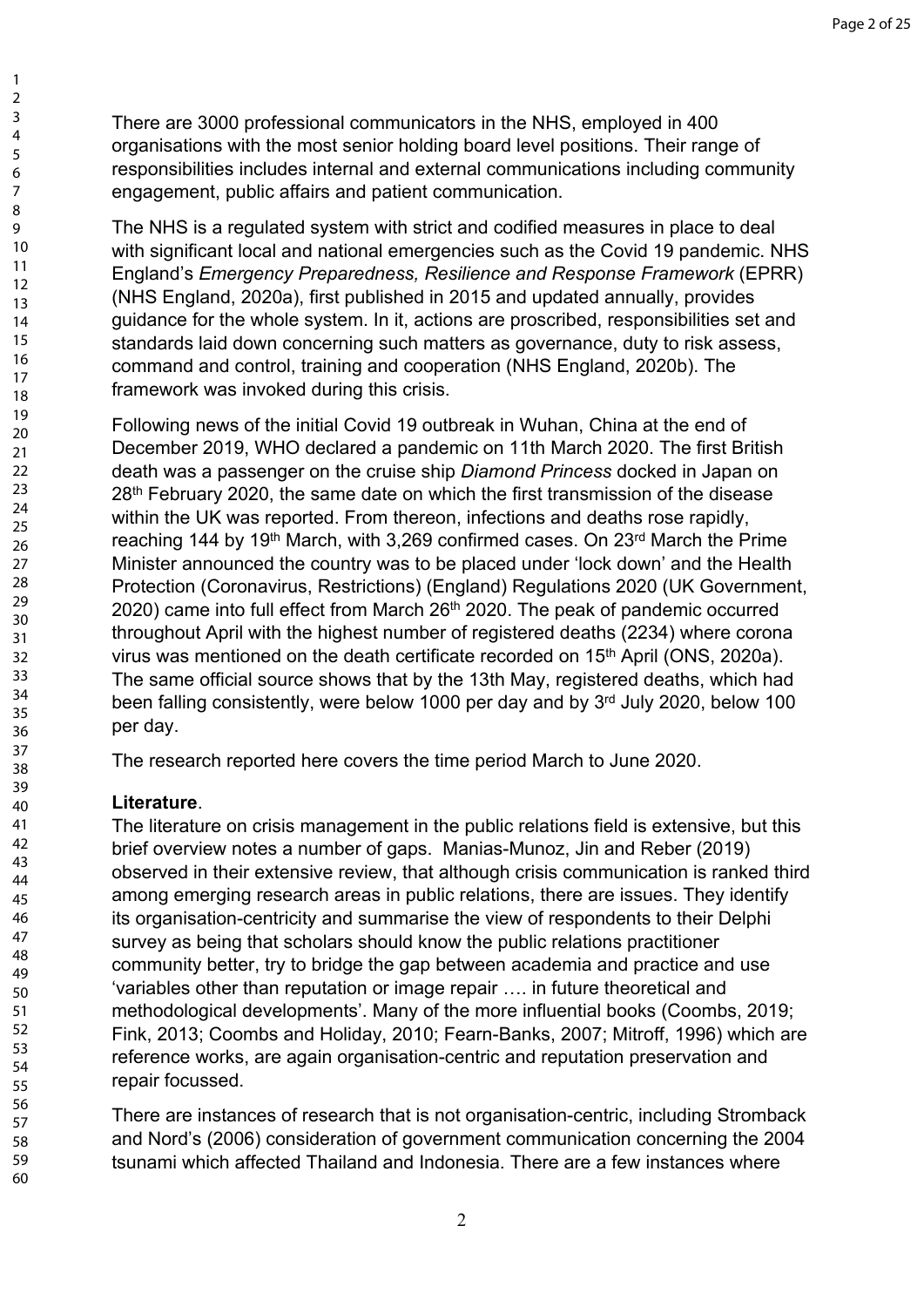There are 3000 professional communicators in the NHS, employed in 400 organisations with the most senior holding board level positions. Their range of responsibilities includes internal and external communications including community engagement, public affairs and patient communication.

The NHS is a regulated system with strict and codified measures in place to deal with significant local and national emergencies such as the Covid 19 pandemic. NHS England's *Emergency Preparedness, Resilience and Response Framework* (EPRR) (NHS England, 2020a), first published in 2015 and updated annually, provides guidance for the whole system. In it, actions are proscribed, responsibilities set and standards laid down concerning such matters as governance, duty to risk assess, command and control, training and cooperation (NHS England, 2020b). The framework was invoked during this crisis.

Following news of the initial Covid 19 outbreak in Wuhan, China at the end of December 2019, WHO declared a pandemic on 11th March 2020. The first British death was a passenger on the cruise ship *Diamond Princess* docked in Japan on 28<sup>th</sup> February 2020, the same date on which the first transmission of the disease within the UK was reported. From thereon, infections and deaths rose rapidly, reaching 144 by 19<sup>th</sup> March, with 3,269 confirmed cases. On 23<sup>rd</sup> March the Prime Minister announced the country was to be placed under 'lock down' and the Health Protection (Coronavirus, Restrictions) (England) Regulations 2020 (UK Government, 2020) came into full effect from March 26th 2020. The peak of pandemic occurred throughout April with the highest number of registered deaths (2234) where corona virus was mentioned on the death certificate recorded on 15<sup>th</sup> April (ONS, 2020a). The same official source shows that by the 13th May, registered deaths, which had been falling consistently, were below 1000 per day and by 3rd July 2020, below 100 per day.

The research reported here covers the time period March to June 2020.

# **Literature**.

'variables other than reputation or image repair …. in future theoretical and methodological developments'. Many of the more influential books (Coombs, 2019; Fink, 2013; Coombs and Holiday, 2010; Fearn-Banks, 2007; Mitroff, 1996) which are reference works, are again organisation-centric and reputation preservation and repair focussed. The literature on crisis management in the public relations field is extensive, but this brief overview notes a number of gaps. Manias-Munoz, Jin and Reber (2019) observed in their extensive review, that although crisis communication is ranked third among emerging research areas in public relations, there are issues. They identify its organisation-centricity and summarise the view of respondents to their Delphi survey as being that scholars should know the public relations practitioner community better, try to bridge the gap between academia and practice and use

There are instances of research that is not organisation-centric, including Stromback and Nord's (2006) consideration of government communication concerning the 2004 tsunami which affected Thailand and Indonesia. There are a few instances where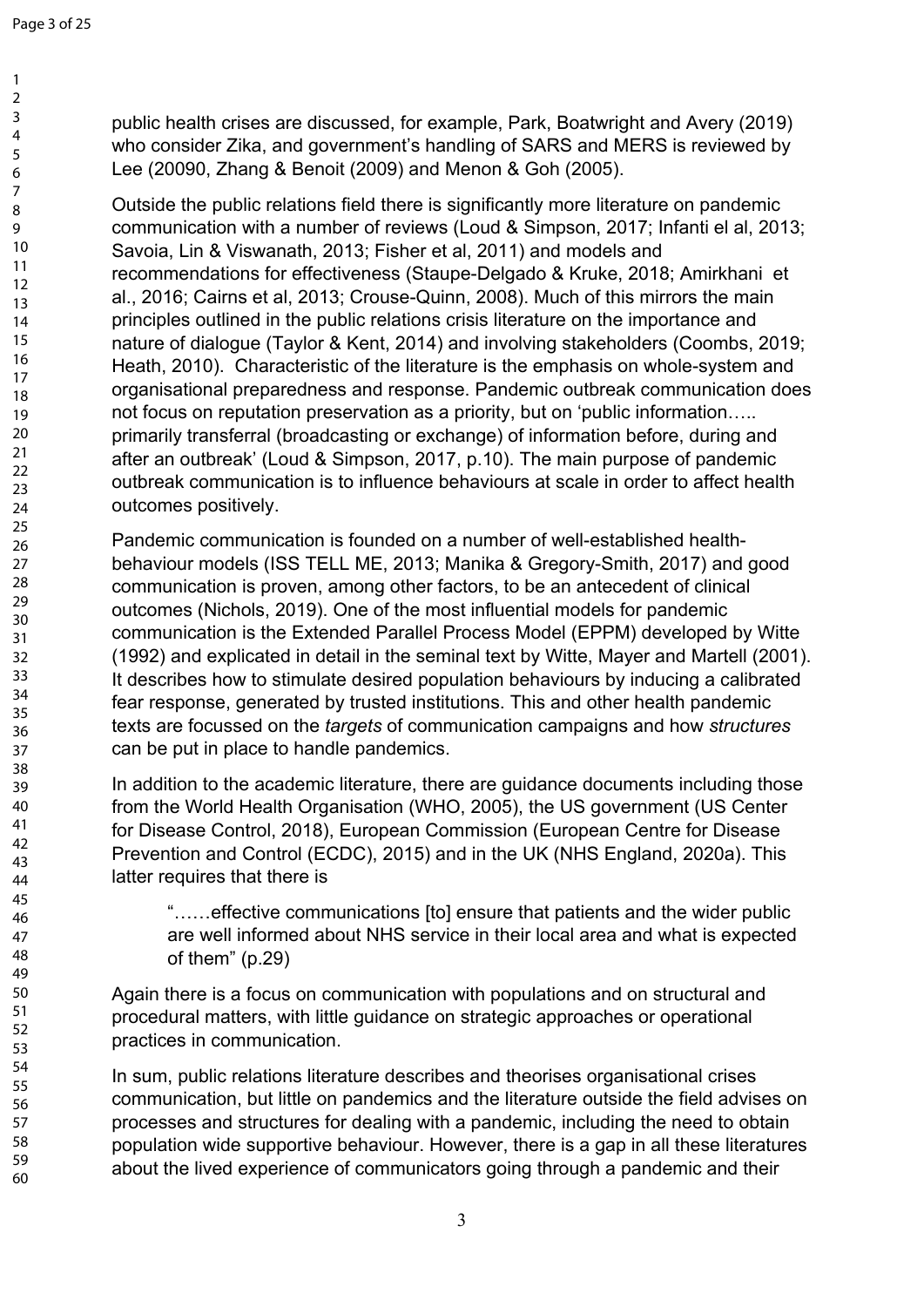public health crises are discussed, for example, Park, Boatwright and Avery (2019) who consider Zika, and government's handling of SARS and MERS is reviewed by Lee (20090, Zhang & Benoit (2009) and Menon & Goh (2005).

not focus on reputation preservation as a priority, but on 'public information….. primarily transferral (broadcasting or exchange) of information before, during and after an outbreak' (Loud & Simpson, 2017, p.10). The main purpose of pandemic outbreak communication is to influence behaviours at scale in order to affect health outcomes positively. Outside the public relations field there is significantly more literature on pandemic communication with a number of reviews (Loud & Simpson, 2017; Infanti el al, 2013; Savoia, Lin & Viswanath, 2013; Fisher et al, 2011) and models and recommendations for effectiveness (Staupe-Delgado & Kruke, 2018; Amirkhani et al., 2016; Cairns et al, 2013; Crouse-Quinn, 2008). Much of this mirrors the main principles outlined in the public relations crisis literature on the importance and nature of dialogue (Taylor & Kent, 2014) and involving stakeholders (Coombs, 2019; Heath, 2010). Characteristic of the literature is the emphasis on whole-system and organisational preparedness and response. Pandemic outbreak communication does

Pandemic communication is founded on a number of well-established healthbehaviour models (ISS TELL ME, 2013; Manika & Gregory-Smith, 2017) and good communication is proven, among other factors, to be an antecedent of clinical outcomes (Nichols, 2019). One of the most influential models for pandemic communication is the Extended Parallel Process Model (EPPM) developed by Witte (1992) and explicated in detail in the seminal text by Witte, Mayer and Martell (2001). It describes how to stimulate desired population behaviours by inducing a calibrated fear response, generated by trusted institutions. This and other health pandemic texts are focussed on the *targets* of communication campaigns and how *structures* can be put in place to handle pandemics.

In addition to the academic literature, there are guidance documents including those from the World Health Organisation (WHO, 2005), the US government (US Center for Disease Control, 2018), European Commission (European Centre for Disease Prevention and Control (ECDC), 2015) and in the UK (NHS England, 2020a). This latter requires that there is

"……effective communications [to] ensure that patients and the wider public are well informed about NHS service in their local area and what is expected of them" (p.29)

Again there is a focus on communication with populations and on structural and procedural matters, with little guidance on strategic approaches or operational practices in communication.

In sum, public relations literature describes and theorises organisational crises communication, but little on pandemics and the literature outside the field advises on processes and structures for dealing with a pandemic, including the need to obtain population wide supportive behaviour. However, there is a gap in all these literatures about the lived experience of communicators going through a pandemic and their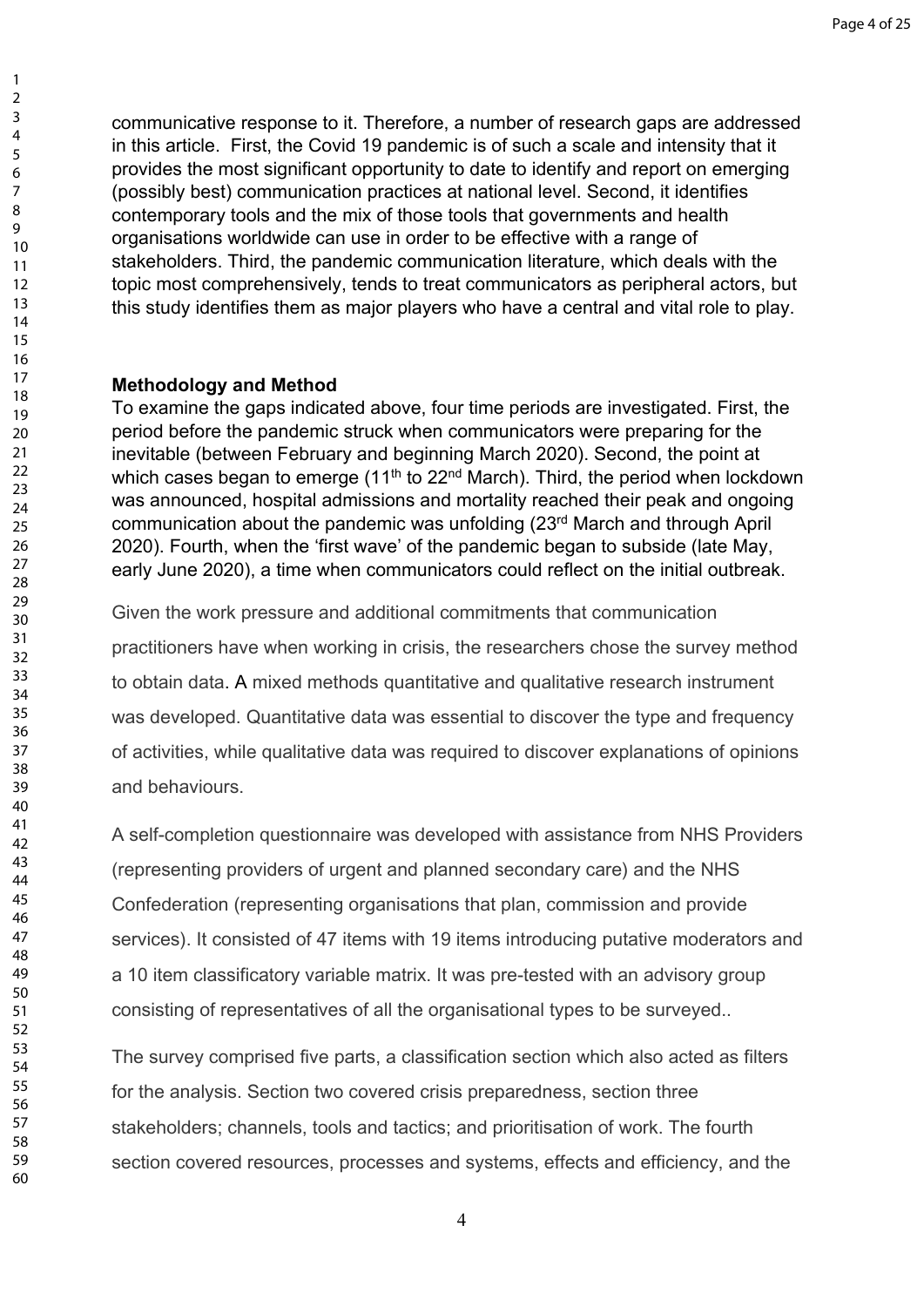communicative response to it. Therefore, a number of research gaps are addressed in this article. First, the Covid 19 pandemic is of such a scale and intensity that it provides the most significant opportunity to date to identify and report on emerging (possibly best) communication practices at national level. Second, it identifies contemporary tools and the mix of those tools that governments and health organisations worldwide can use in order to be effective with a range of stakeholders. Third, the pandemic communication literature, which deals with the topic most comprehensively, tends to treat communicators as peripheral actors, but this study identifies them as major players who have a central and vital role to play.

## **Methodology and Method**

To examine the gaps indicated above, four time periods are investigated. First, the period before the pandemic struck when communicators were preparing for the inevitable (between February and beginning March 2020). Second, the point at which cases began to emerge  $(11<sup>th</sup>$  to 22<sup>nd</sup> March). Third, the period when lockdown was announced, hospital admissions and mortality reached their peak and ongoing communication about the pandemic was unfolding (23rd March and through April 2020). Fourth, when the 'first wave' of the pandemic began to subside (late May, early June 2020), a time when communicators could reflect on the initial outbreak.

Given the work pressure and additional commitments that communication practitioners have when working in crisis, the researchers chose the survey method to obtain data. A mixed methods quantitative and qualitative research instrument was developed. Quantitative data was essential to discover the type and frequency of activities, while qualitative data was required to discover explanations of opinions and behaviours.

A self-completion questionnaire was developed with assistance from NHS Providers (representing providers of urgent and planned secondary care) and the NHS Confederation (representing organisations that plan, commission and provide services). It consisted of 47 items with 19 items introducing putative moderators and a 10 item classificatory variable matrix. It was pre-tested with an advisory group consisting of representatives of all the organisational types to be surveyed..

The survey comprised five parts, a classification section which also acted as filters for the analysis. Section two covered crisis preparedness, section three stakeholders; channels, tools and tactics; and prioritisation of work. The fourth section covered resources, processes and systems, effects and efficiency, and the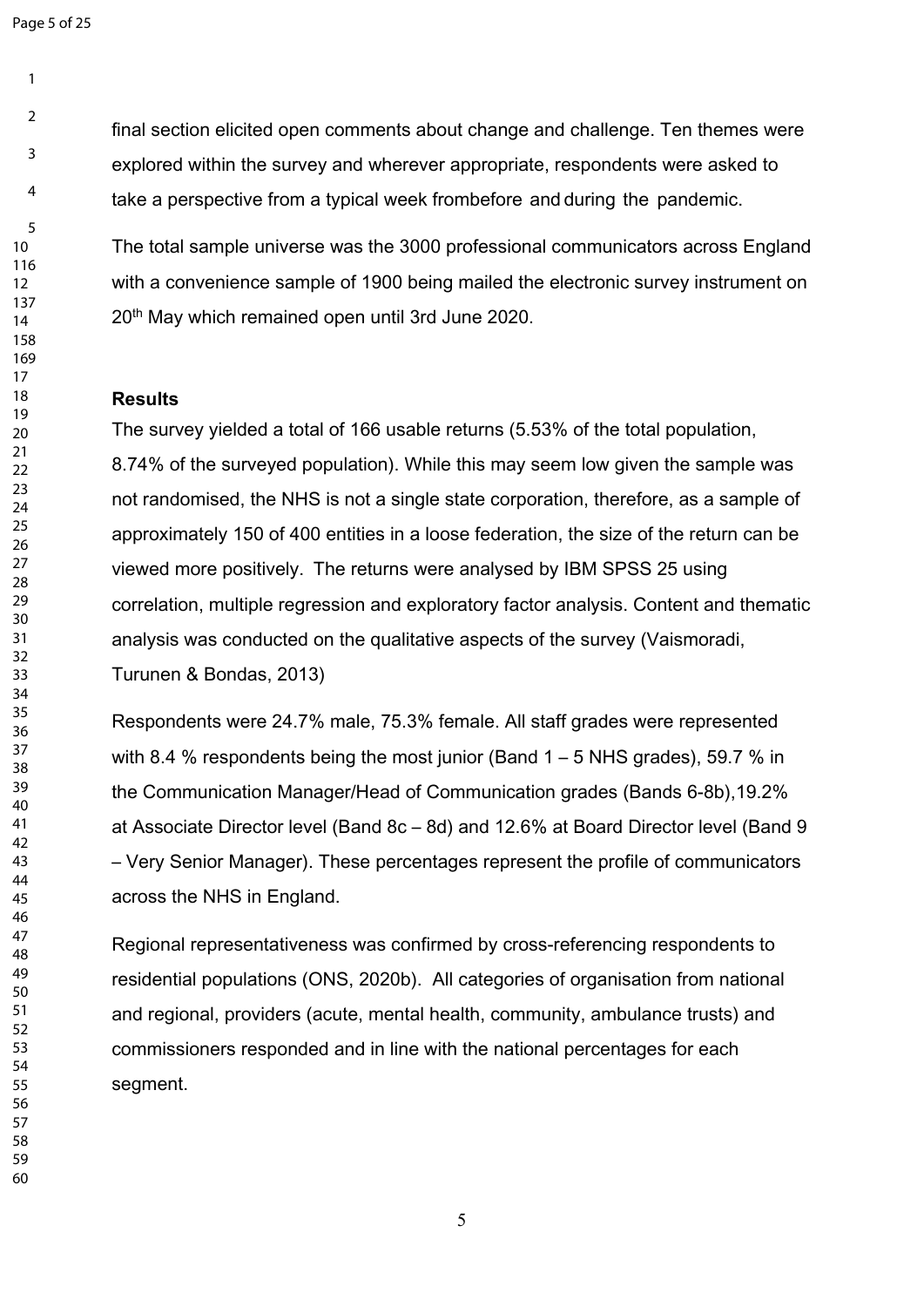Page 5 of 25

final section elicited open comments about change and challenge. Ten themes were explored within the survey and wherever appropriate, respondents were asked to take a perspective from a typical week from*before* and *during* the pandemic.

The total sample universe was the 3000 professional communicators across England with a convenience sample of 1900 being mailed the electronic survey instrument on 20<sup>th</sup> May which remained open until 3rd June 2020.

## **Results**

The survey yielded a total of 166 usable returns (5.53% of the total population, 8.74% of the surveyed population). While this may seem low given the sample was not randomised, the NHS is not a single state corporation, therefore, as a sample of approximately 150 of 400 entities in a loose federation, the size of the return can be viewed more positively. The returns were analysed by IBM SPSS 25 using correlation, multiple regression and exploratory factor analysis. Content and thematic analysis was conducted on the qualitative aspects of the survey (Vaismoradi, Turunen & Bondas, 2013)

Respondents were 24.7% male, 75.3% female. All staff grades were represented with 8.4 % respondents being the most junior (Band  $1 - 5$  NHS grades), 59.7 % in the Communication Manager/Head of Communication grades (Bands 6-8b), 19.2% at Associate Director level (Band 8c – 8d) and 12.6% at Board Director level (Band 9 – Very Senior Manager). These percentages represent the profile of communicators across the NHS in England.

Regional representativeness was confirmed by cross-referencing respondents to residential populations (ONS, 2020b). All categories of organisation from national and regional, providers (acute, mental health, community, ambulance trusts) and commissioners responded and in line with the national percentages for each segment.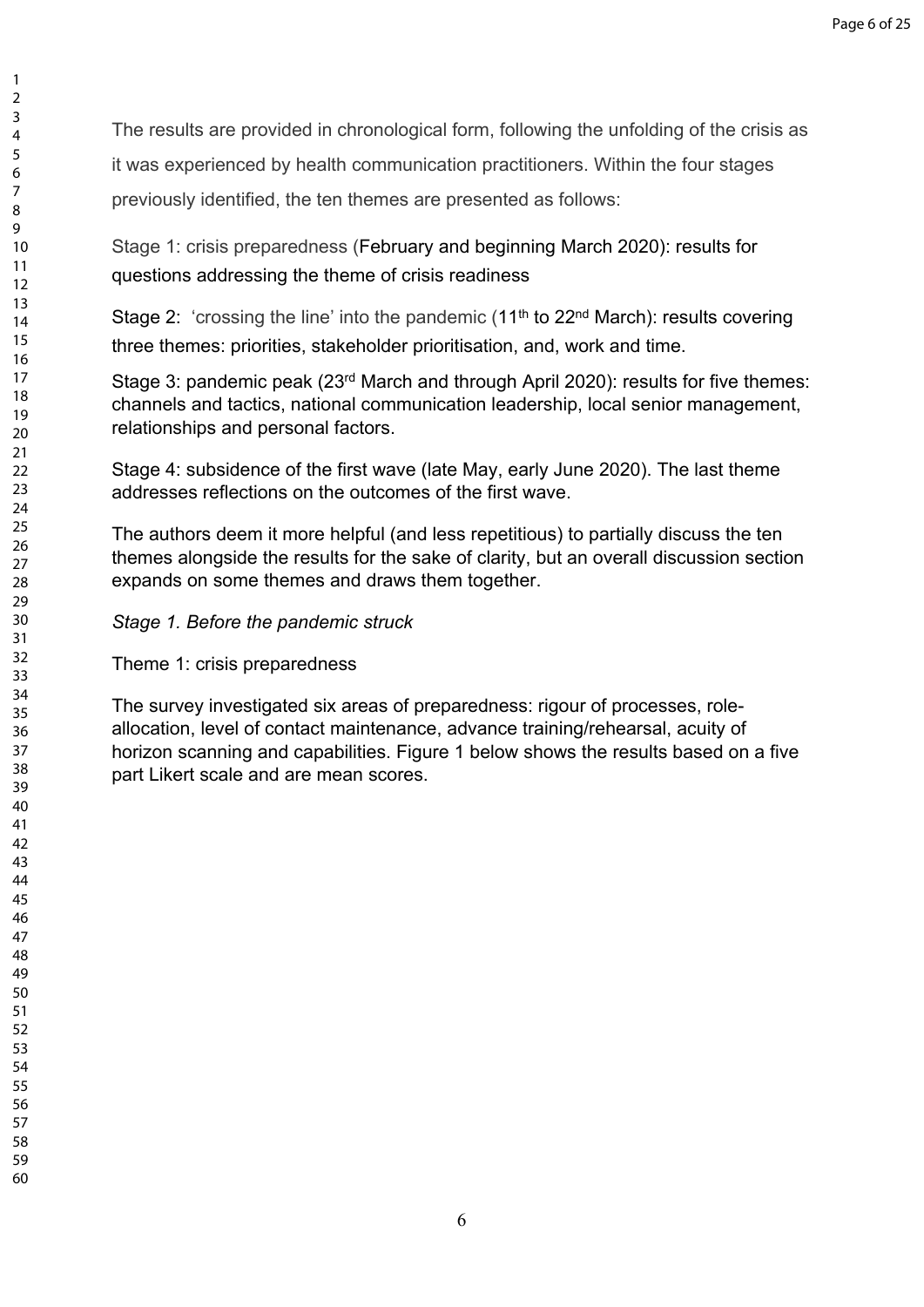The results are provided in chronological form, following the unfolding of the crisis as

it was experienced by health communication practitioners. Within the four stages

previously identified, the ten themes are presented as follows:

Stage 1: crisis preparedness (February and beginning March 2020): results for questions addressing the theme of crisis readiness

Stage 2: 'crossing the line' into the pandemic  $(11<sup>th</sup>$  to 22<sup>nd</sup> March): results covering three themes: priorities, stakeholder prioritisation, and, work and time.

Stage 3: pandemic peak (23rd March and through April 2020): results for five themes: channels and tactics, national communication leadership, local senior management, relationships and personal factors.

Stage 4: subsidence of the first wave (late May, early June 2020). The last theme addresses reflections on the outcomes of the first wave.

The authors deem it more helpful (and less repetitious) to partially discuss the ten themes alongside the results for the sake of clarity, but an overall discussion section expands on some themes and draws them together.

*Stage 1. Before the pandemic struck*

Theme 1: crisis preparedness

The survey investigated six areas of preparedness: rigour of processes, roleallocation, level of contact maintenance, advance training/rehearsal, acuity of horizon scanning and capabilities. Figure 1 below shows the results based on a five part Likert scale and are mean scores.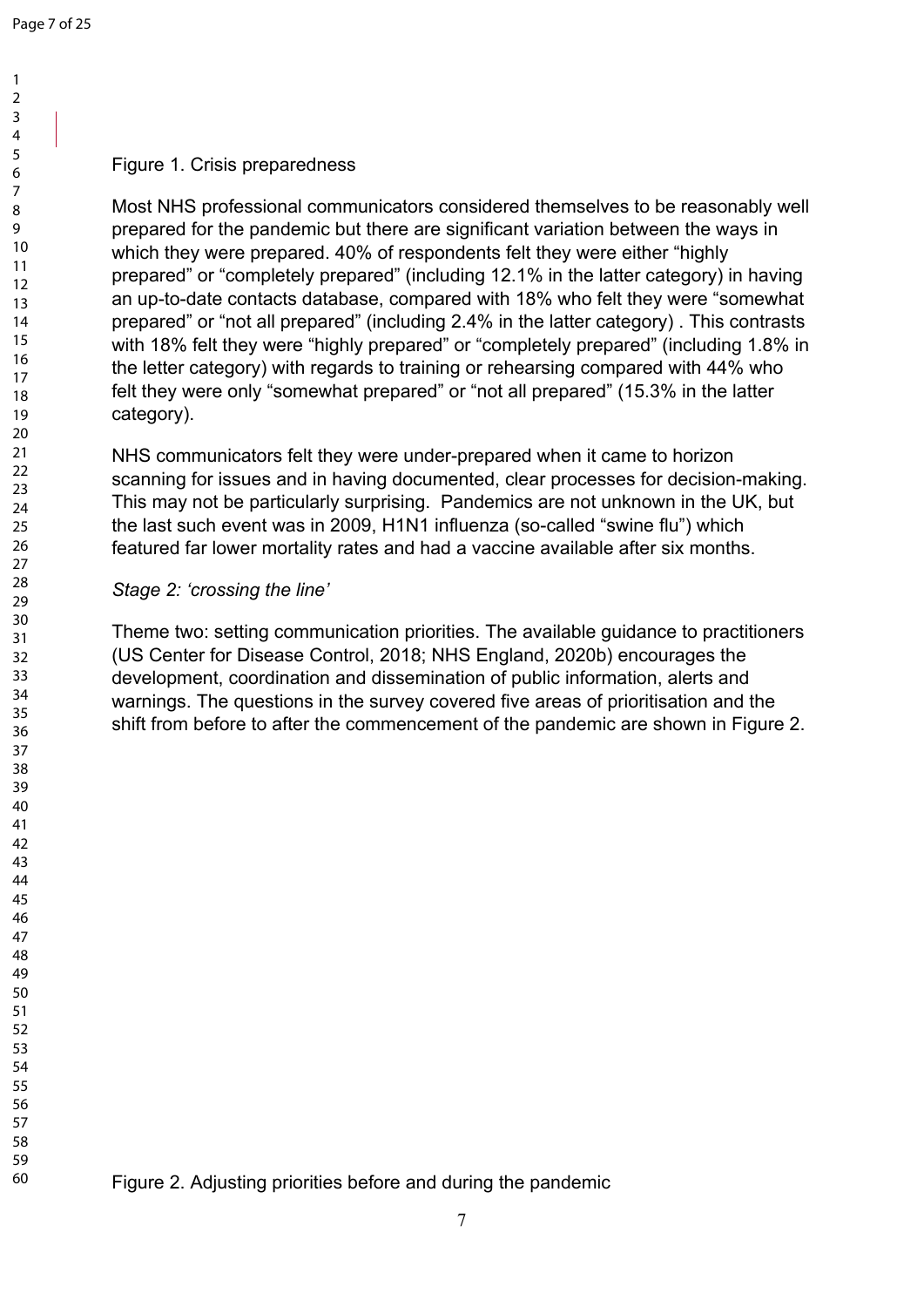#### Figure 1. Crisis preparedness

Most NHS professional communicators considered themselves to be reasonably well prepared for the pandemic but there are significant variation between the ways in which they were prepared. 40% of respondents felt they were either "highly prepared" or "completely prepared" (including 12.1% in the latter category) in having an up-to-date contacts database, compared with 18% who felt they were "somewhat prepared" or "not all prepared" (including 2.4% in the latter category) . This contrasts with 18% felt they were "highly prepared" or "completely prepared" (including 1.8% in the letter category) with regards to training or rehearsing compared with 44% who felt they were only "somewhat prepared" or "not all prepared" (15.3% in the latter category).

NHS communicators felt they were under-prepared when it came to horizon scanning for issues and in having documented, clear processes for decision-making. This may not be particularly surprising. Pandemics are not unknown in the UK, but the last such event was in 2009, H1N1 influenza (so-called "swine flu") which featured far lower mortality rates and had a vaccine available after six months.

## *Stage 2: 'crossing the line'*

Theme two: setting communication priorities. The available guidance to practitioners (US Center for Disease Control, 2018; NHS England, 2020b) encourages the development, coordination and dissemination of public information, alerts and warnings. The questions in the survey covered five areas of prioritisation and the shift from before to after the commencement of the pandemic are shown in Figure 2.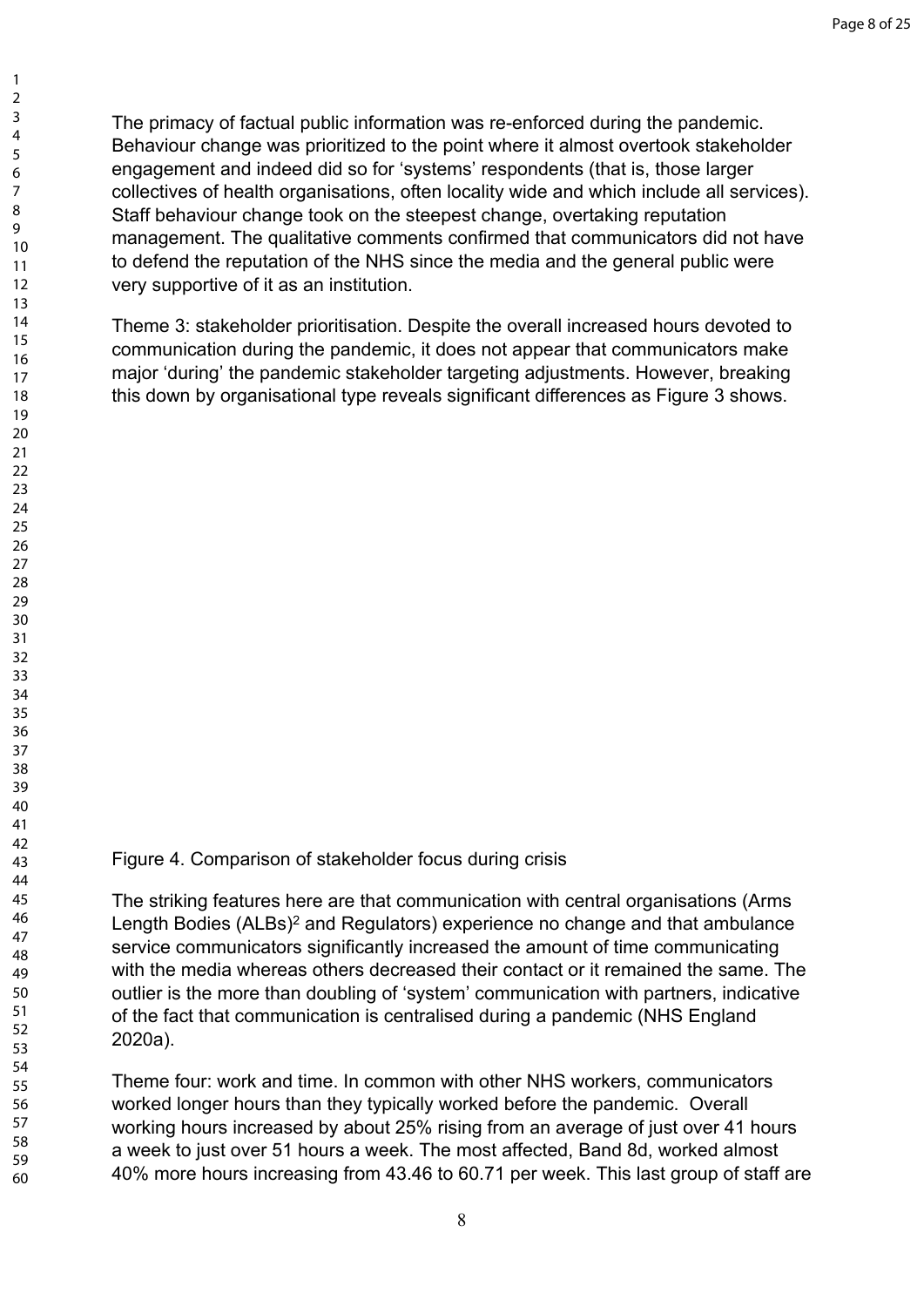The primacy of factual public information was re-enforced during the pandemic. Behaviour change was prioritized to the point where it almost overtook stakeholder engagement and indeed did so for 'systems' respondents (that is, those larger collectives of health organisations, often locality wide and which include all services). Staff behaviour change took on the steepest change, overtaking reputation management. The qualitative comments confirmed that communicators did not have to defend the reputation of the NHS since the media and the general public were very supportive of it as an institution.

Theme 3: stakeholder prioritisation. Despite the overall increased hours devoted to communication during the pandemic, it does not appear that communicators make major 'during' the pandemic stakeholder targeting adjustments. However, breaking this down by organisational type reveals significant differences as Figure 3 shows.

## Figure 4. Comparison of stakeholder focus during crisis

The striking features here are that communication with central organisations (Arms Length Bodies (ALBs)<sup>2</sup> and Regulators) experience no change and that ambulance service communicators significantly increased the amount of time communicating with the media whereas others decreased their contact or it remained the same. The outlier is the more than doubling of 'system' communication with partners, indicative of the fact that communication is centralised during a pandemic (NHS England 2020a).

Theme four: work and time. In common with other NHS workers, communicators worked longer hours than they typically worked before the pandemic. Overall working hours increased by about 25% rising from an average of just over 41 hours a week to just over 51 hours a week. The most affected, Band 8d, worked almost 40% more hours increasing from 43.46 to 60.71 per week. This last group of staff are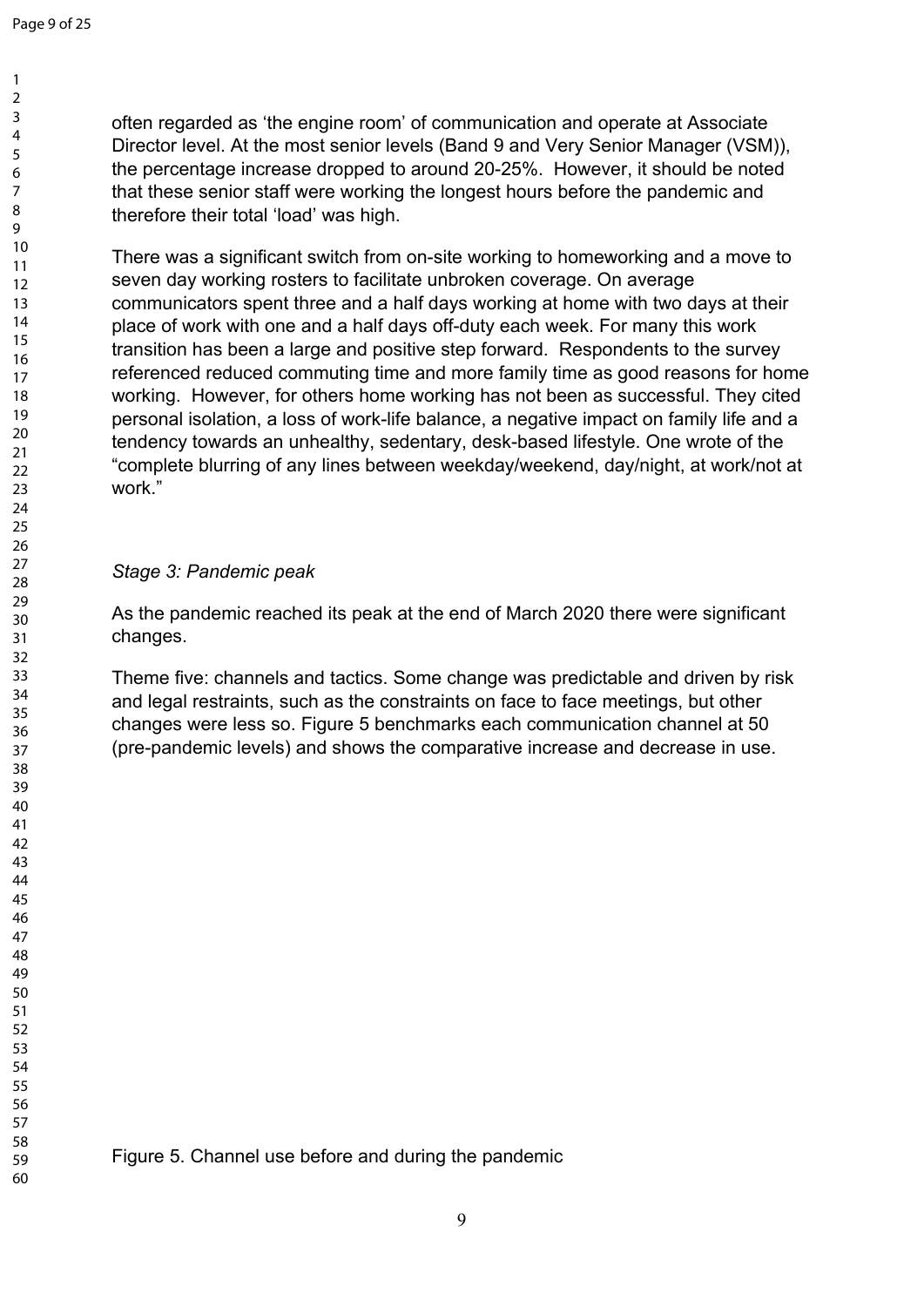There was a significant switch from on-site working to homeworking and a move to seven day working rosters to facilitate unbroken coverage. On average communicators spent three and a half days working at home with two days at their place of work with one and a half days off-duty each week. For many this work transition has been a large and positive step forward. Respondents to the survey referenced reduced commuting time and more family time as good reasons for home working. However, for others home working has not been as successful. They cited personal isolation, a loss of work-life balance, a negative impact on family life and a tendency towards an unhealthy, sedentary, desk-based lifestyle. One wrote of the "complete blurring of any lines between weekday/weekend, day/night, at work/not at work."

## *Stage 3: Pandemic peak*

As the pandemic reached its peak at the end of March 2020 there were significant changes.

Theme five: channels and tactics. Some change was predictable and driven by risk and legal restraints, such as the constraints on face to face meetings, but other changes were less so. Figure 5 benchmarks each communication channel at 50 (pre-pandemic levels) and shows the comparative increase and decrease in use.

Figure 5. Channel use before and during the pandemic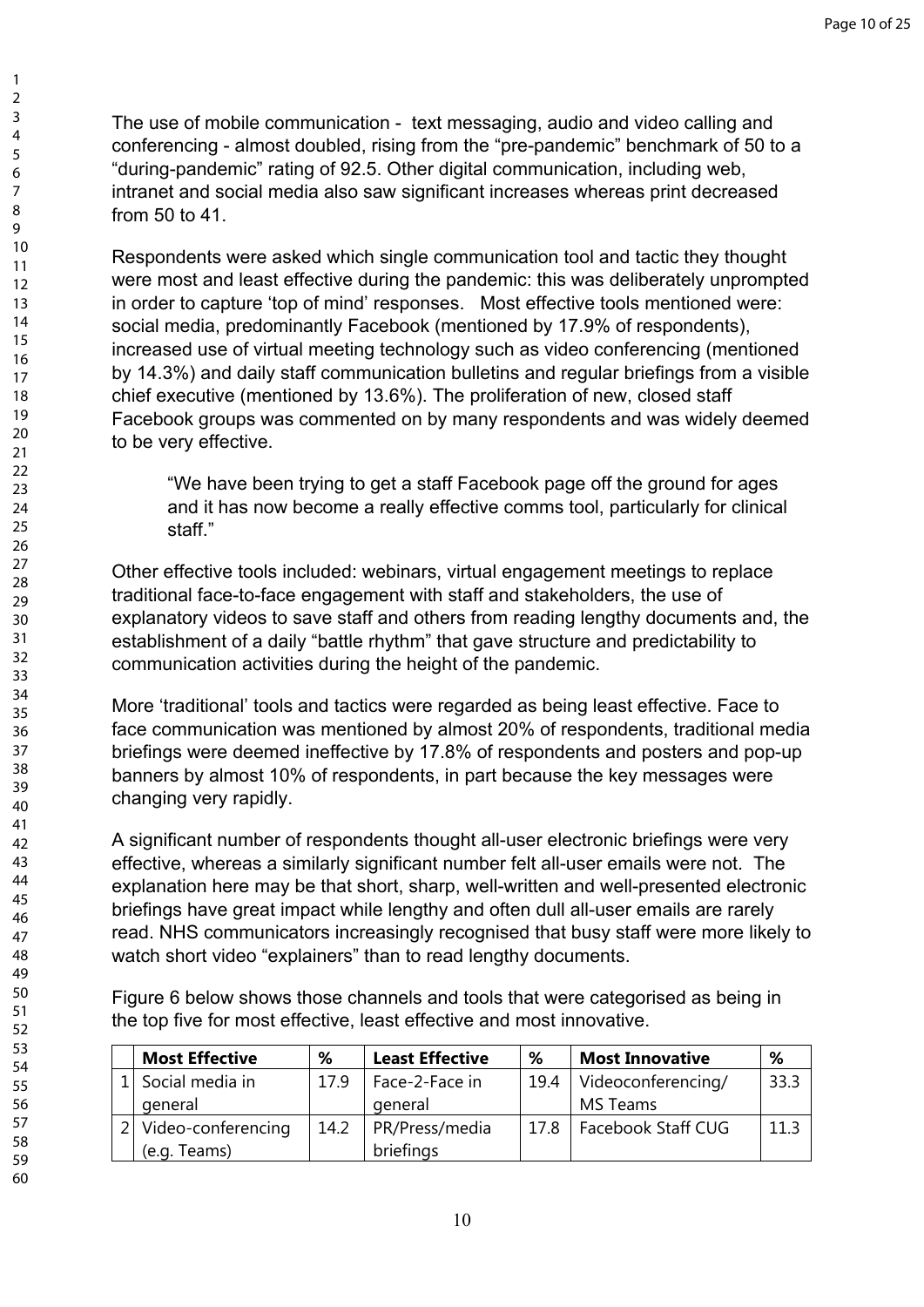The use of mobile communication - text messaging, audio and video calling and conferencing - almost doubled, rising from the "pre-pandemic" benchmark of 50 to a "during-pandemic" rating of 92.5. Other digital communication, including web, intranet and social media also saw significant increases whereas print decreased from 50 to 41.

Respondents were asked which single communication tool and tactic they thought were most and least effective during the pandemic: this was deliberately unprompted in order to capture 'top of mind' responses. Most effective tools mentioned were: social media, predominantly Facebook (mentioned by 17.9% of respondents), increased use of virtual meeting technology such as video conferencing (mentioned by 14.3%) and daily staff communication bulletins and regular briefings from a visible chief executive (mentioned by 13.6%). The proliferation of new, closed staff Facebook groups was commented on by many respondents and was widely deemed to be very effective.

"We have been trying to get a staff Facebook page off the ground for ages and it has now become a really effective comms tool, particularly for clinical staff."

Other effective tools included: webinars, virtual engagement meetings to replace traditional face-to-face engagement with staff and stakeholders, the use of explanatory videos to save staff and others from reading lengthy documents and, the establishment of a daily "battle rhythm" that gave structure and predictability to communication activities during the height of the pandemic.

More 'traditional' tools and tactics were regarded as being least effective. Face to face communication was mentioned by almost 20% of respondents, traditional media briefings were deemed ineffective by 17.8% of respondents and posters and pop-up banners by almost 10% of respondents, in part because the key messages were changing very rapidly.

A significant number of respondents thought all-user electronic briefings were very effective, whereas a similarly significant number felt all-user emails were not. The explanation here may be that short, sharp, well-written and well-presented electronic briefings have great impact while lengthy and often dull all-user emails are rarely read. NHS communicators increasingly recognised that busy staff were more likely to watch short video "explainers" than to read lengthy documents.

Figure 6 below shows those channels and tools that were categorised as being in the top five for most effective, least effective and most innovative.

| <b>Most Effective</b> | ℅    | <b>Least Effective</b> | ℅    | <b>Most Innovative</b> | %    |
|-----------------------|------|------------------------|------|------------------------|------|
| Social media in       | 179  | Face-2-Face in         | 19.4 | Videoconferencing/     | 33.3 |
| general               |      | general                |      | MS Teams               |      |
| Video-conferencing    | 14.2 | PR/Press/media         | 17.8 | Facebook Staff CUG     | 11 1 |
| (e.g. Teams)          |      | briefings              |      |                        |      |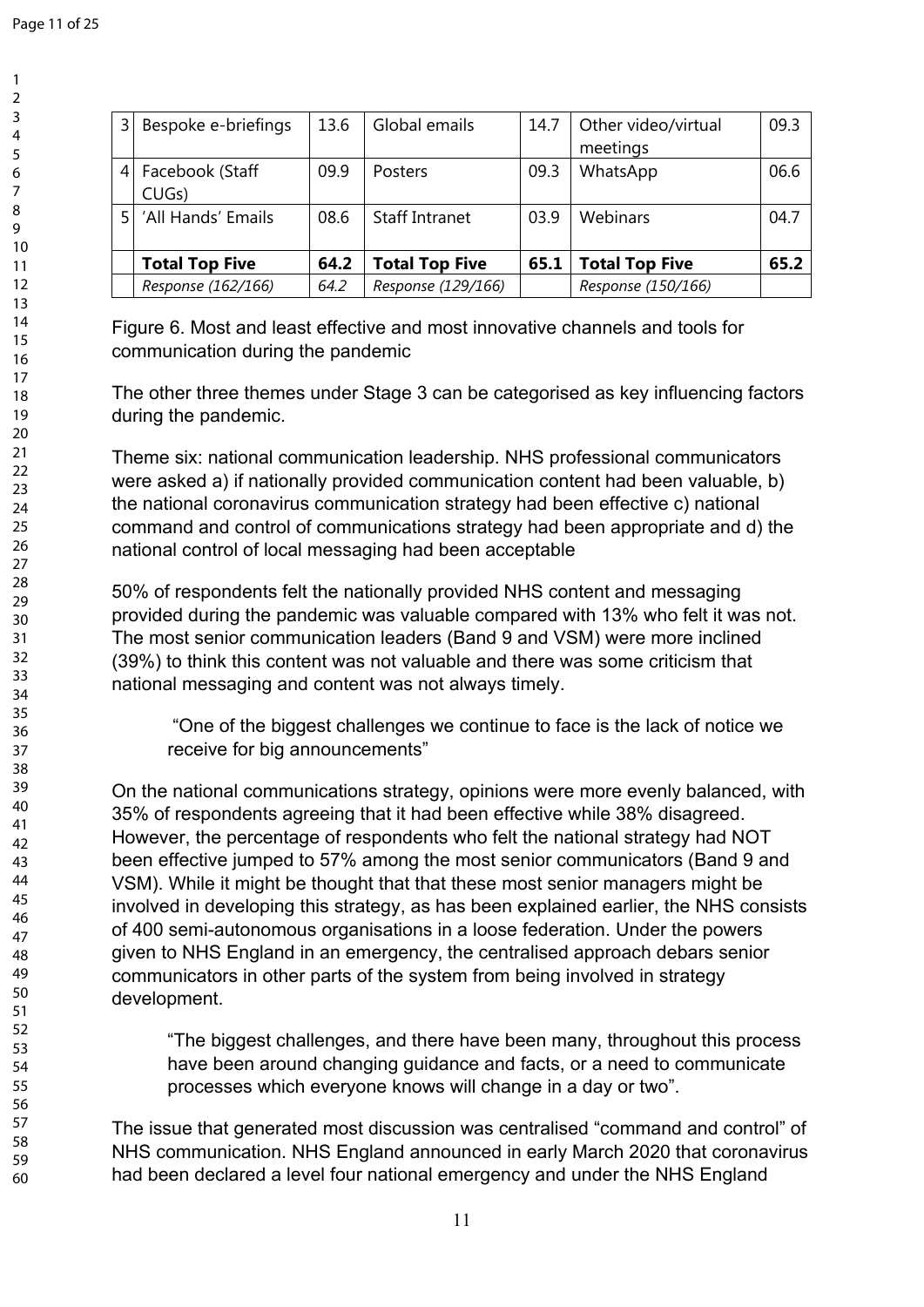| 3  | Bespoke e-briefings   | 13.6 | Global emails         | 14.7 | Other video/virtual   | 09.3 |
|----|-----------------------|------|-----------------------|------|-----------------------|------|
|    |                       |      |                       |      | meetings              |      |
| 4  | Facebook (Staff       | 09.9 | <b>Posters</b>        | 09.3 | WhatsApp              | 06.6 |
|    | CUG <sub>S</sub> )    |      |                       |      |                       |      |
| 5. | 'All Hands' Emails    | 08.6 | <b>Staff Intranet</b> | 03.9 | Webinars              | 04.7 |
|    |                       |      |                       |      |                       |      |
|    | <b>Total Top Five</b> | 64.2 | <b>Total Top Five</b> | 65.1 | <b>Total Top Five</b> | 65.2 |
|    | Response (162/166)    | 64.2 | Response (129/166)    |      | Response (150/166)    |      |

Figure 6. Most and least effective and most innovative channels and tools for communication during the pandemic

The other three themes under Stage 3 can be categorised as key influencing factors during the pandemic.

Theme six: national communication leadership. NHS professional communicators were asked a) if nationally provided communication content had been valuable, b) the national coronavirus communication strategy had been effective c) national command and control of communications strategy had been appropriate and d) the national control of local messaging had been acceptable

50% of respondents felt the nationally provided NHS content and messaging provided during the pandemic was valuable compared with 13% who felt it was not. The most senior communication leaders (Band 9 and VSM) were more inclined (39%) to think this content was not valuable and there was some criticism that national messaging and content was not always timely.

 "One of the biggest challenges we continue to face is the lack of notice we receive for big announcements"

On the national communications strategy, opinions were more evenly balanced, with 35% of respondents agreeing that it had been effective while 38% disagreed. However, the percentage of respondents who felt the national strategy had NOT been effective jumped to 57% among the most senior communicators (Band 9 and VSM). While it might be thought that that these most senior managers might be involved in developing this strategy, as has been explained earlier, the NHS consists of 400 semi-autonomous organisations in a loose federation. Under the powers given to NHS England in an emergency, the centralised approach debars senior communicators in other parts of the system from being involved in strategy development.

"The biggest challenges, and there have been many, throughout this process have been around changing guidance and facts, or a need to communicate processes which everyone knows will change in a day or two".

The issue that generated most discussion was centralised "command and control" of NHS communication. NHS England announced in early March 2020 that coronavirus had been declared a level four national emergency and under the NHS England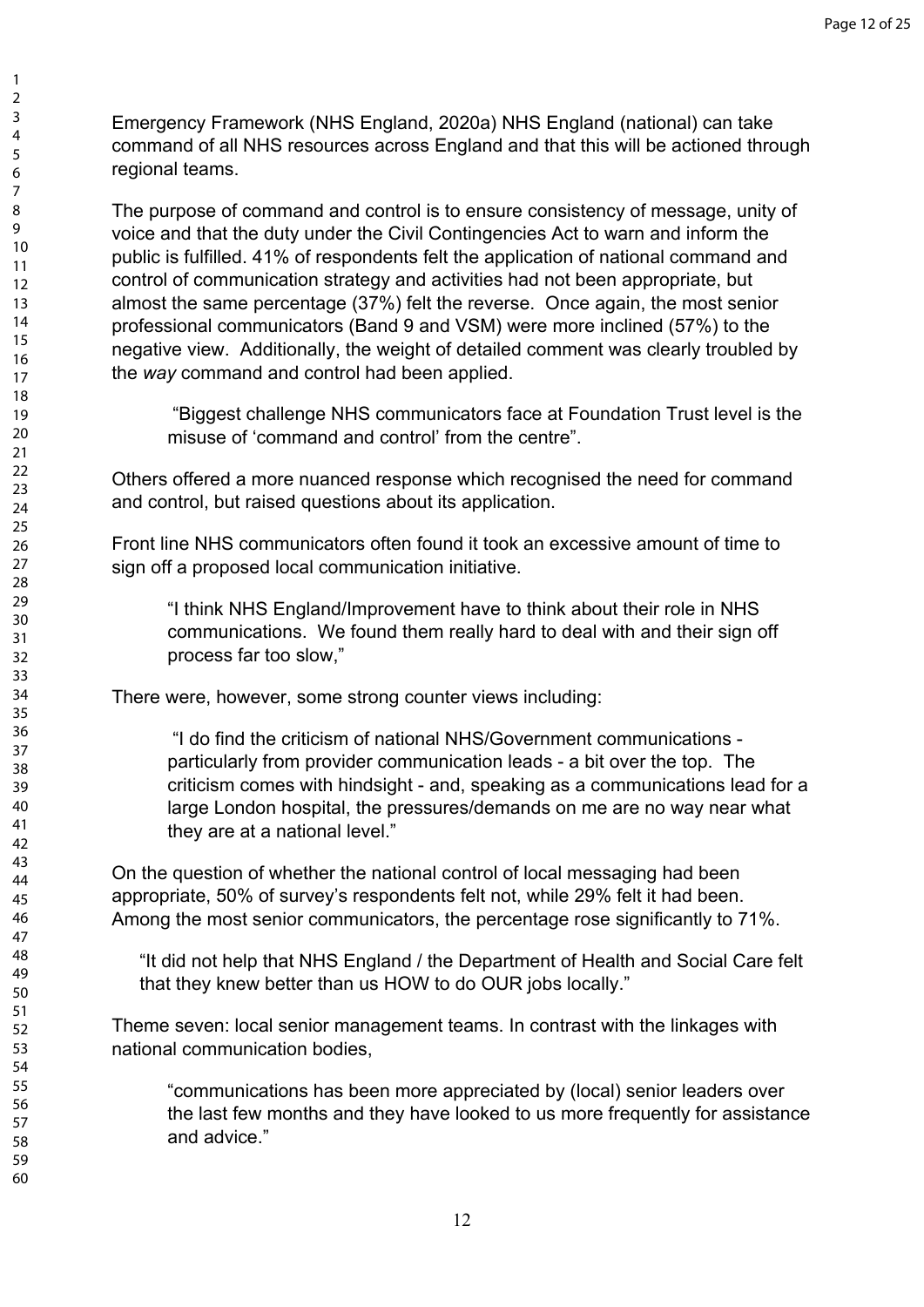Emergency Framework (NHS England, 2020a) NHS England (national) can take command of all NHS resources across England and that this will be actioned through regional teams.

The purpose of command and control is to ensure consistency of message, unity of voice and that the duty under the Civil Contingencies Act to warn and inform the public is fulfilled. 41% of respondents felt the application of national command and control of communication strategy and activities had not been appropriate, but almost the same percentage (37%) felt the reverse. Once again, the most senior professional communicators (Band 9 and VSM) were more inclined (57%) to the negative view. Additionally, the weight of detailed comment was clearly troubled by the *way* command and control had been applied.

 "Biggest challenge NHS communicators face at Foundation Trust level is the misuse of 'command and control' from the centre".

Others offered a more nuanced response which recognised the need for command and control, but raised questions about its application.

Front line NHS communicators often found it took an excessive amount of time to sign off a proposed local communication initiative.

"I think NHS England/Improvement have to think about their role in NHS communications. We found them really hard to deal with and their sign off process far too slow,"

There were, however, some strong counter views including:

 "I do find the criticism of national NHS/Government communications particularly from provider communication leads - a bit over the top. The criticism comes with hindsight - and, speaking as a communications lead for a large London hospital, the pressures/demands on me are no way near what they are at a national level."

On the question of whether the national control of local messaging had been appropriate, 50% of survey's respondents felt not, while 29% felt it had been. Among the most senior communicators, the percentage rose significantly to 71%.

"It did not help that NHS England / the Department of Health and Social Care felt that they knew better than us HOW to do OUR jobs locally."

Theme seven: local senior management teams. In contrast with the linkages with national communication bodies,

"communications has been more appreciated by (local) senior leaders over the last few months and they have looked to us more frequently for assistance and advice."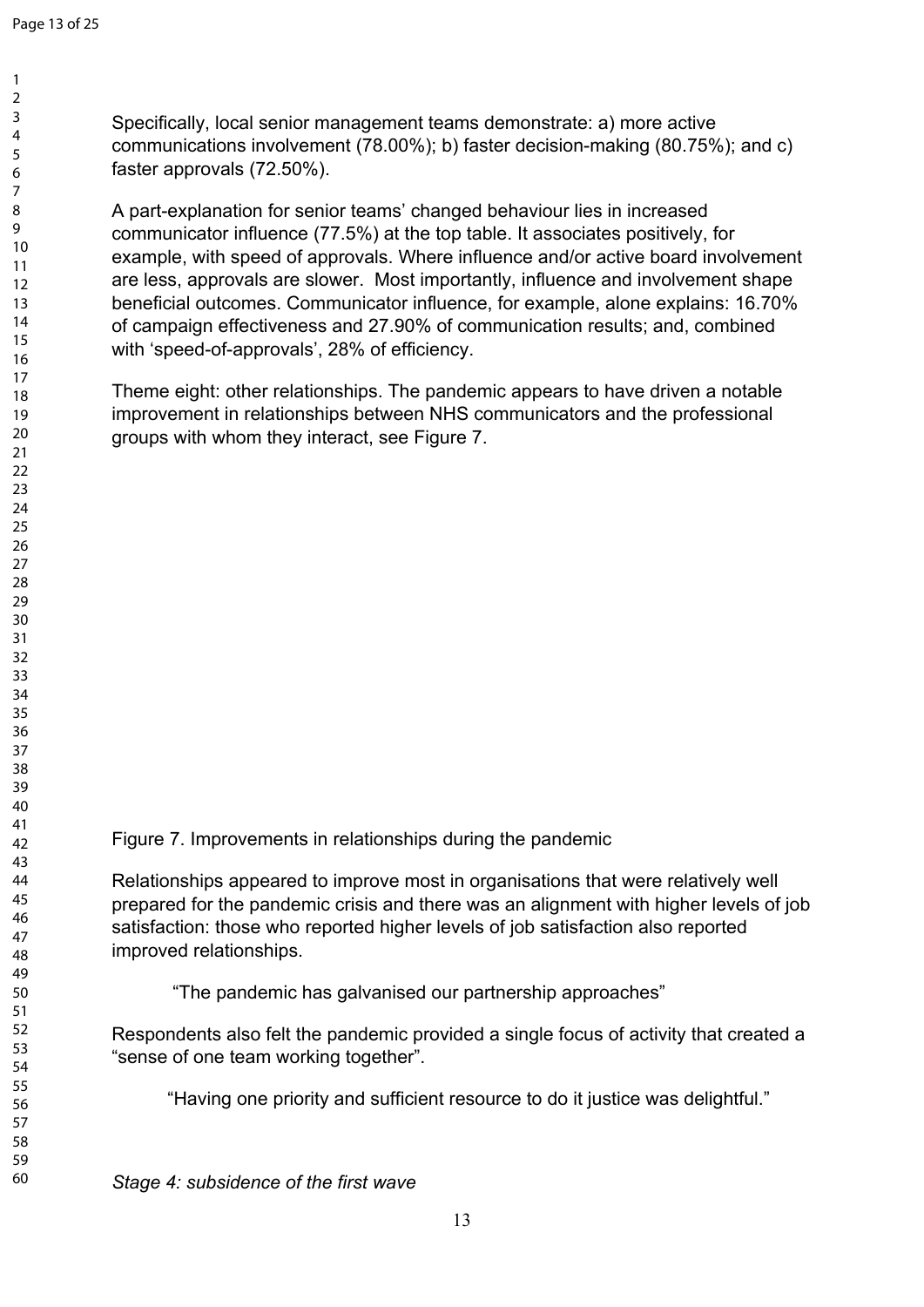Specifically, local senior management teams demonstrate: a) more active communications involvement (78.00%); b) faster decision-making (80.75%); and c) faster approvals (72.50%).

A part-explanation for senior teams' changed behaviour lies in increased communicator influence (77.5%) at the top table. It associates positively, for example, with speed of approvals. Where influence and/or active board involvement are less, approvals are slower. Most importantly, influence and involvement shape beneficial outcomes. Communicator influence, for example, alone explains: 16.70% of campaign effectiveness and 27.90% of communication results; and, combined with 'speed-of-approvals', 28% of efficiency.

Theme eight: other relationships. The pandemic appears to have driven a notable improvement in relationships between NHS communicators and the professional groups with whom they interact, see Figure 7.

Figure 7. Improvements in relationships during the pandemic

Relationships appeared to improve most in organisations that were relatively well prepared for the pandemic crisis and there was an alignment with higher levels of job satisfaction: those who reported higher levels of job satisfaction also reported improved relationships.

"The pandemic has galvanised our partnership approaches"

Respondents also felt the pandemic provided a single focus of activity that created a "sense of one team working together".

"Having one priority and sufficient resource to do it justice was delightful."

*Stage 4: subsidence of the first wave*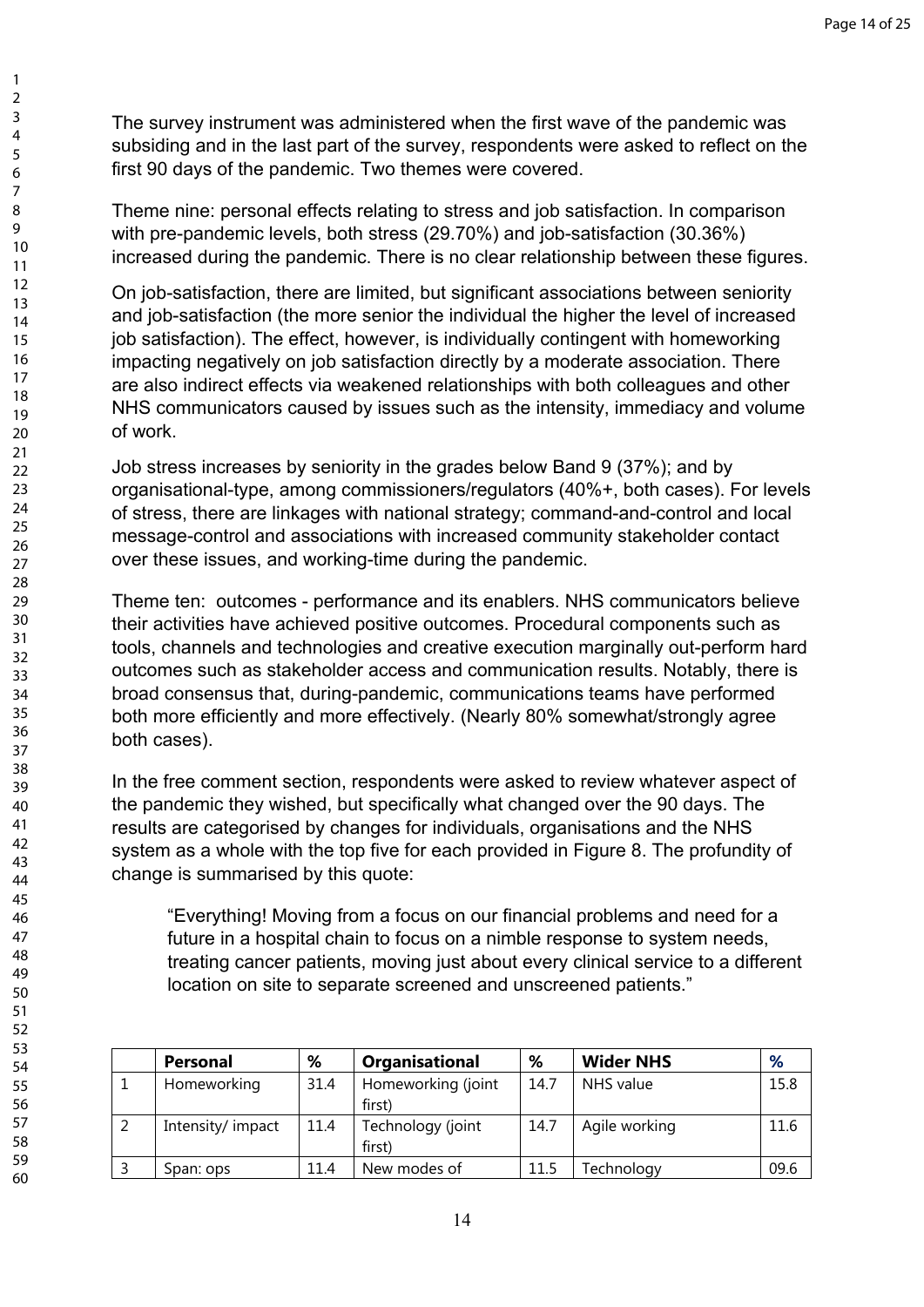The survey instrument was administered when the first wave of the pandemic was subsiding and in the last part of the survey, respondents were asked to reflect on the first 90 days of the pandemic. Two themes were covered.

Theme nine: personal effects relating to stress and job satisfaction. In comparison with pre-pandemic levels, both stress (29.70%) and job-satisfaction (30.36%) increased during the pandemic. There is no clear relationship between these figures.

On job-satisfaction, there are limited, but significant associations between seniority and job-satisfaction (the more senior the individual the higher the level of increased job satisfaction). The effect, however, is individually contingent with homeworking impacting negatively on job satisfaction directly by a moderate association. There are also indirect effects via weakened relationships with both colleagues and other NHS communicators caused by issues such as the intensity, immediacy and volume of work.

Job stress increases by seniority in the grades below Band 9 (37%); and by organisational-type, among commissioners/regulators (40%+, both cases). For levels of stress, there are linkages with national strategy; command-and-control and local message-control and associations with increased community stakeholder contact over these issues, and working-time during the pandemic.

Theme ten: outcomes - performance and its enablers. NHS communicators believe their activities have achieved positive outcomes. Procedural components such as tools, channels and technologies and creative execution marginally out-perform hard outcomes such as stakeholder access and communication results. Notably, there is broad consensus that, during-pandemic, communications teams have performed both more efficiently and more effectively. (Nearly 80% somewhat/strongly agree both cases).

In the free comment section, respondents were asked to review whatever aspect of the pandemic they wished, but specifically what changed over the 90 days. The results are categorised by changes for individuals, organisations and the NHS system as a whole with the top five for each provided in Figure 8. The profundity of change is summarised by this quote:

"Everything! Moving from a focus on our financial problems and need for a future in a hospital chain to focus on a nimble response to system needs, treating cancer patients, moving just about every clinical service to a different location on site to separate screened and unscreened patients."

|   | <b>Personal</b>   | %    | Organisational              | %    | <b>Wider NHS</b> | %    |
|---|-------------------|------|-----------------------------|------|------------------|------|
|   | Homeworking       | 31.4 | Homeworking (joint          | 14.7 | NHS value        | 15.8 |
|   |                   |      | first)                      |      |                  |      |
| ∍ | Intensity/ impact | 11.4 | Technology (joint<br>first) | 14.7 | Agile working    | 11.6 |
|   | Span: ops         | 11.4 | New modes of                | 11.5 | Technology       | 09.6 |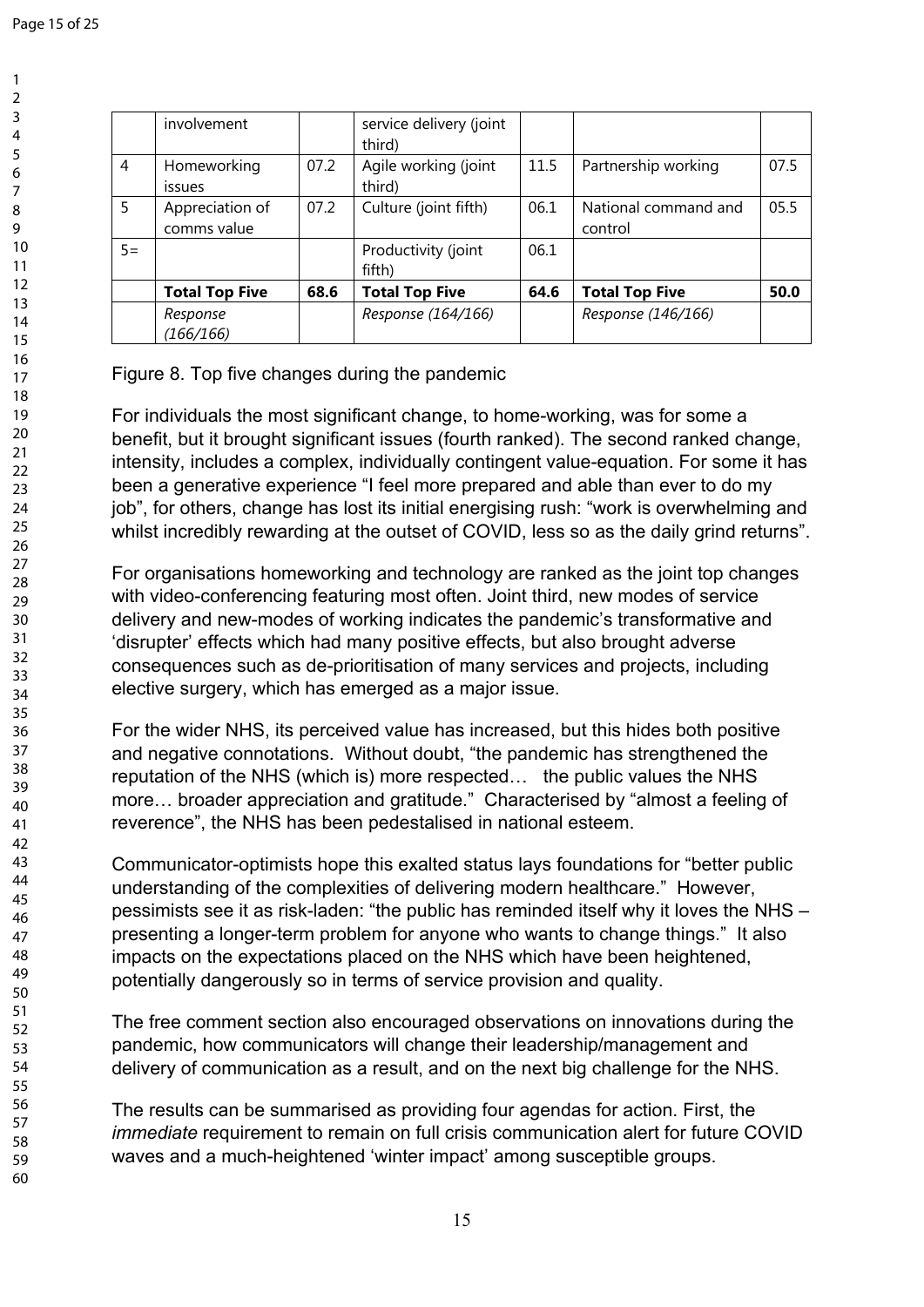|       | involvement                    |      | service delivery (joint<br>third) |      |                                 |      |
|-------|--------------------------------|------|-----------------------------------|------|---------------------------------|------|
| 4     | Homeworking<br><i>issues</i>   | 07.2 | Agile working (joint<br>third)    | 11.5 | Partnership working             | 07.5 |
| 5     | Appreciation of<br>comms value | 07.2 | Culture (joint fifth)             | 06.1 | National command and<br>control | 05.5 |
| $5 =$ |                                |      | Productivity (joint<br>fifth)     | 06.1 |                                 |      |
|       | <b>Total Top Five</b>          | 68.6 | <b>Total Top Five</b>             | 64.6 | <b>Total Top Five</b>           | 50.0 |
|       | Response                       |      | Response (164/166)                |      | Response (146/166)              |      |
|       | (166/166)                      |      |                                   |      |                                 |      |

## Figure 8. Top five changes during the pandemic

For individuals the most significant change, to home-working, was for some a benefit, but it brought significant issues (fourth ranked). The second ranked change, intensity, includes a complex, individually contingent value-equation. For some it has been a generative experience "I feel more prepared and able than ever to do my job", for others, change has lost its initial energising rush: "work is overwhelming and whilst incredibly rewarding at the outset of COVID, less so as the daily grind returns".

For organisations homeworking and technology are ranked as the joint top changes with video-conferencing featuring most often. Joint third, new modes of service delivery and new-modes of working indicates the pandemic's transformative and 'disrupter' effects which had many positive effects, but also brought adverse consequences such as de-prioritisation of many services and projects, including elective surgery, which has emerged as a major issue.

For the wider NHS, its perceived value has increased, but this hides both positive and negative connotations. Without doubt, "the pandemic has strengthened the reputation of the NHS (which is) more respected… the public values the NHS more… broader appreciation and gratitude." Characterised by "almost a feeling of reverence", the NHS has been pedestalised in national esteem.

Communicator-optimists hope this exalted status lays foundations for "better public understanding of the complexities of delivering modern healthcare." However, pessimists see it as risk-laden: "the public has reminded itself why it loves the NHS – presenting a longer-term problem for anyone who wants to change things." It also impacts on the expectations placed on the NHS which have been heightened, potentially dangerously so in terms of service provision and quality.

The free comment section also encouraged observations on innovations during the pandemic, how communicators will change their leadership/management and delivery of communication as a result, and on the next big challenge for the NHS.

The results can be summarised as providing four agendas for action. First, the *immediate* requirement to remain on full crisis communication alert for future COVID waves and a much-heightened 'winter impact' among susceptible groups.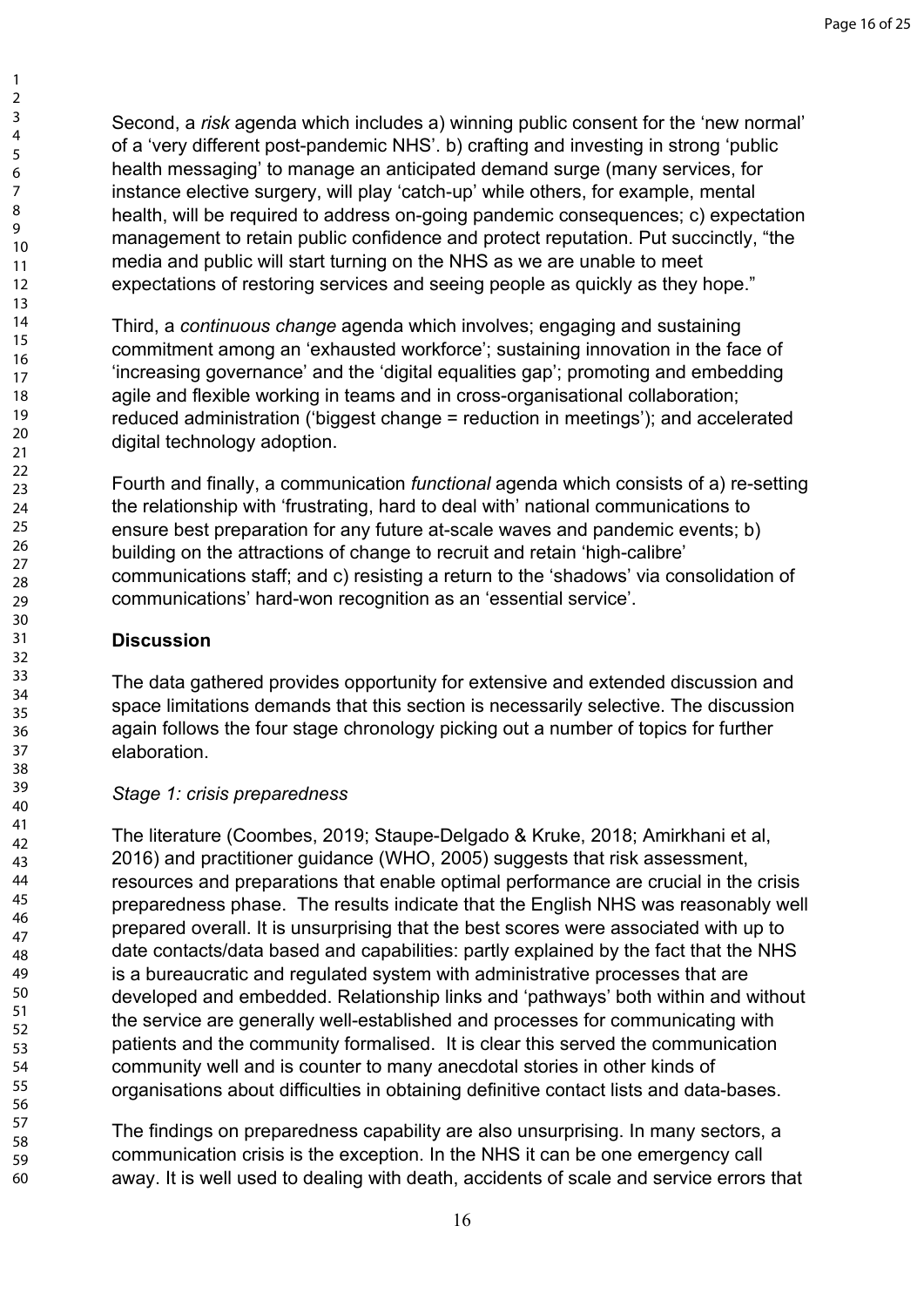Second, a *risk* agenda which includes a) winning public consent for the 'new normal' of a 'very different post-pandemic NHS'. b) crafting and investing in strong 'public health messaging' to manage an anticipated demand surge (many services, for instance elective surgery, will play 'catch-up' while others, for example, mental health, will be required to address on-going pandemic consequences; c) expectation management to retain public confidence and protect reputation. Put succinctly, "the media and public will start turning on the NHS as we are unable to meet expectations of restoring services and seeing people as quickly as they hope."

Third, a *continuous change* agenda which involves; engaging and sustaining commitment among an 'exhausted workforce'; sustaining innovation in the face of 'increasing governance' and the 'digital equalities gap'; promoting and embedding agile and flexible working in teams and in cross-organisational collaboration; reduced administration ('biggest change = reduction in meetings'); and accelerated digital technology adoption.

Fourth and finally, a communication *functional* agenda which consists of a) re-setting the relationship with 'frustrating, hard to deal with' national communications to ensure best preparation for any future at-scale waves and pandemic events; b) building on the attractions of change to recruit and retain 'high-calibre' communications staff; and c) resisting a return to the 'shadows' via consolidation of communications' hard-won recognition as an 'essential service'.

# **Discussion**

The data gathered provides opportunity for extensive and extended discussion and space limitations demands that this section is necessarily selective. The discussion again follows the four stage chronology picking out a number of topics for further elaboration.

## *Stage 1: crisis preparedness*

The literature (Coombes, 2019; Staupe-Delgado & Kruke, 2018; Amirkhani et al, 2016) and practitioner guidance (WHO, 2005) suggests that risk assessment, resources and preparations that enable optimal performance are crucial in the crisis preparedness phase. The results indicate that the English NHS was reasonably well prepared overall. It is unsurprising that the best scores were associated with up to date contacts/data based and capabilities: partly explained by the fact that the NHS is a bureaucratic and regulated system with administrative processes that are developed and embedded. Relationship links and 'pathways' both within and without the service are generally well-established and processes for communicating with patients and the community formalised. It is clear this served the communication community well and is counter to many anecdotal stories in other kinds of organisations about difficulties in obtaining definitive contact lists and data-bases.

The findings on preparedness capability are also unsurprising. In many sectors, a communication crisis is the exception. In the NHS it can be one emergency call away. It is well used to dealing with death, accidents of scale and service errors that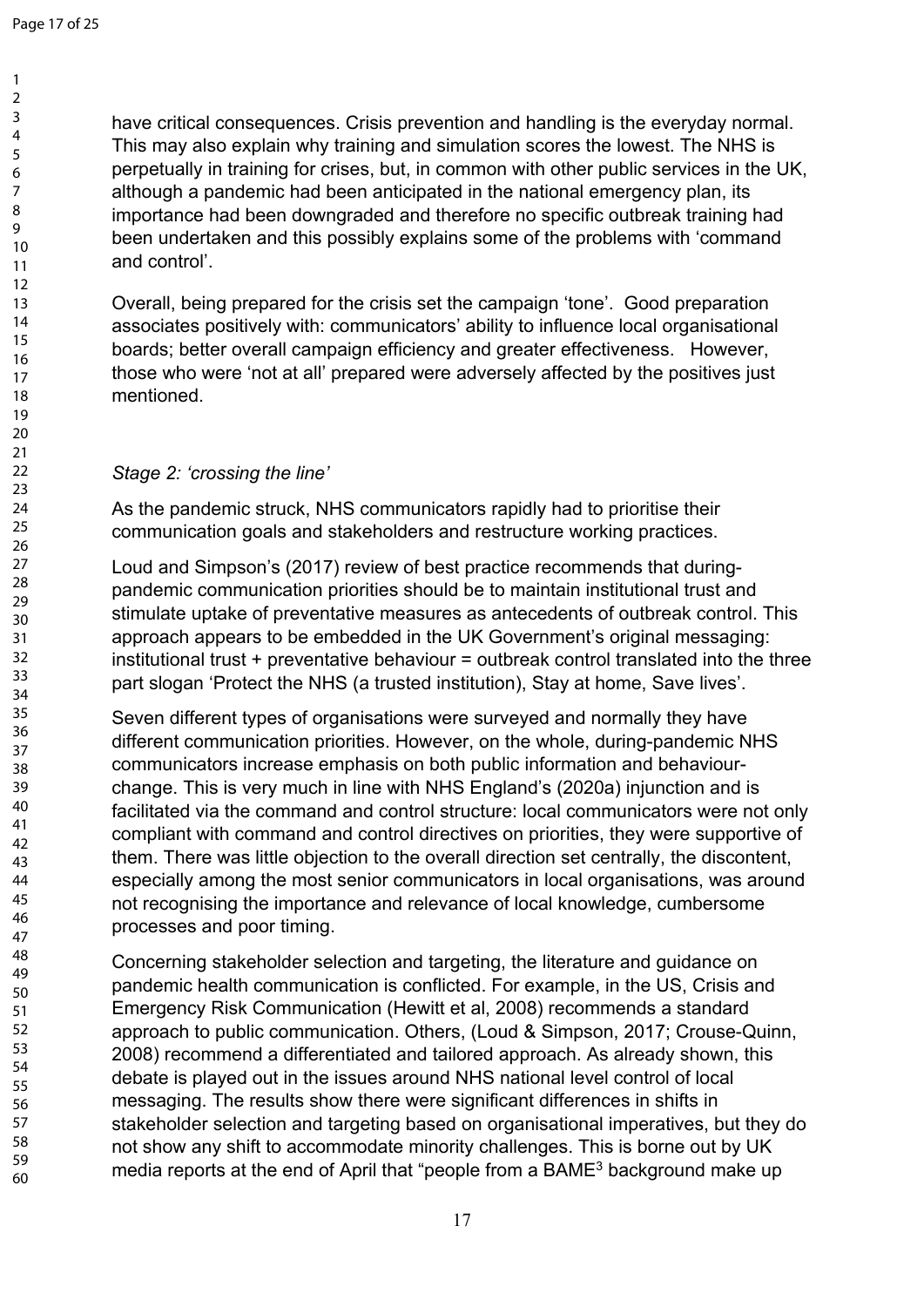> 59 60

have critical consequences. Crisis prevention and handling is the everyday normal. This may also explain why training and simulation scores the lowest. The NHS is perpetually in training for crises, but, in common with other public services in the UK, although a pandemic had been anticipated in the national emergency plan, its importance had been downgraded and therefore no specific outbreak training had been undertaken and this possibly explains some of the problems with 'command and control'.

Overall, being prepared for the crisis set the campaign 'tone'. Good preparation associates positively with: communicators' ability to influence local organisational boards; better overall campaign efficiency and greater effectiveness. However, those who were 'not at all' prepared were adversely affected by the positives just mentioned.

## *Stage 2: 'crossing the line'*

As the pandemic struck, NHS communicators rapidly had to prioritise their communication goals and stakeholders and restructure working practices.

Loud and Simpson's (2017) review of best practice recommends that duringpandemic communication priorities should be to maintain institutional trust and stimulate uptake of preventative measures as antecedents of outbreak control. This approach appears to be embedded in the UK Government's original messaging: institutional trust + preventative behaviour = outbreak control translated into the three part slogan 'Protect the NHS (a trusted institution), Stay at home, Save lives'.

Seven different types of organisations were surveyed and normally they have different communication priorities. However, on the whole, during-pandemic NHS communicators increase emphasis on both public information and behaviourchange. This is very much in line with NHS England's (2020a) injunction and is facilitated via the command and control structure: local communicators were not only compliant with command and control directives on priorities, they were supportive of them. There was little objection to the overall direction set centrally, the discontent, especially among the most senior communicators in local organisations, was around not recognising the importance and relevance of local knowledge, cumbersome processes and poor timing.

Concerning stakeholder selection and targeting, the literature and guidance on pandemic health communication is conflicted. For example, in the US, Crisis and Emergency Risk Communication (Hewitt et al, 2008) recommends a standard approach to public communication. Others, (Loud & Simpson, 2017; Crouse-Quinn, 2008) recommend a differentiated and tailored approach. As already shown, this debate is played out in the issues around NHS national level control of local messaging. The results show there were significant differences in shifts in stakeholder selection and targeting based on organisational imperatives, but they do not show any shift to accommodate minority challenges. This is borne out by UK media reports at the end of April that "people from a BAME<sup>3</sup> background make up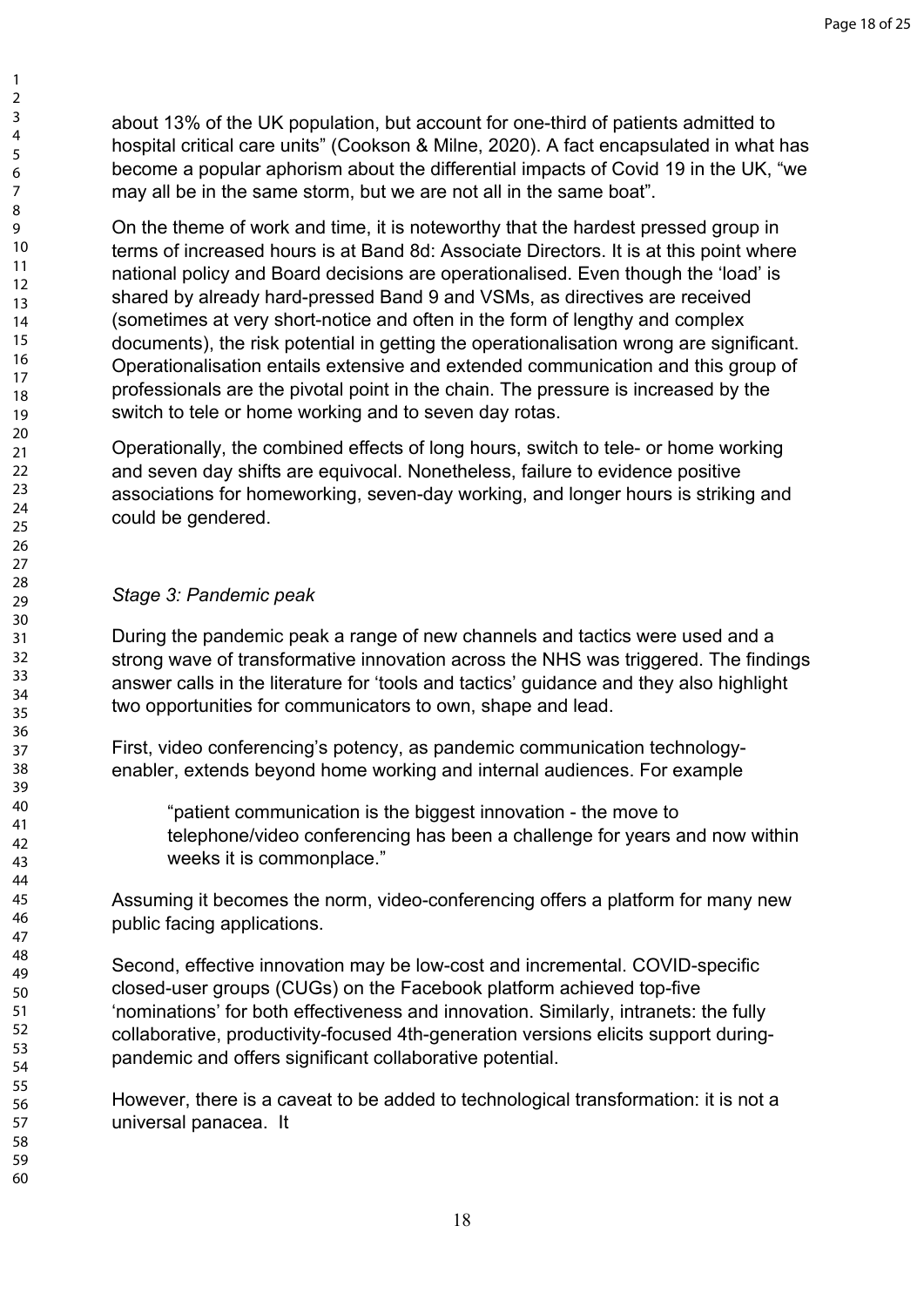about 13% of the UK population, but account for one-third of patients admitted to hospital critical care units" (Cookson & Milne, 2020). A fact encapsulated in what has become a popular aphorism about the differential impacts of Covid 19 in the UK, "we may all be in the same storm, but we are not all in the same boat".

On the theme of work and time, it is noteworthy that the hardest pressed group in terms of increased hours is at Band 8d: Associate Directors. It is at this point where national policy and Board decisions are operationalised. Even though the 'load' is shared by already hard-pressed Band 9 and VSMs, as directives are received (sometimes at very short-notice and often in the form of lengthy and complex documents), the risk potential in getting the operationalisation wrong are significant. Operationalisation entails extensive and extended communication and this group of professionals are the pivotal point in the chain. The pressure is increased by the switch to tele or home working and to seven day rotas.

Operationally, the combined effects of long hours, switch to tele- or home working and seven day shifts are equivocal. Nonetheless, failure to evidence positive associations for homeworking, seven-day working, and longer hours is striking and could be gendered.

## *Stage 3: Pandemic peak*

During the pandemic peak a range of new channels and tactics were used and a strong wave of transformative innovation across the NHS was triggered. The findings answer calls in the literature for 'tools and tactics' guidance and they also highlight two opportunities for communicators to own, shape and lead.

First, video conferencing's potency, as pandemic communication technologyenabler, extends beyond home working and internal audiences. For example

"patient communication is the biggest innovation - the move to telephone/video conferencing has been a challenge for years and now within weeks it is commonplace."

Assuming it becomes the norm, video-conferencing offers a platform for many new public facing applications.

Second, effective innovation may be low-cost and incremental. COVID-specific closed-user groups (CUGs) on the Facebook platform achieved top-five 'nominations' for both effectiveness and innovation. Similarly, intranets: the fully collaborative, productivity-focused 4th-generation versions elicits support duringpandemic and offers significant collaborative potential.

However, there is a caveat to be added to technological transformation: it is not a universal panacea. It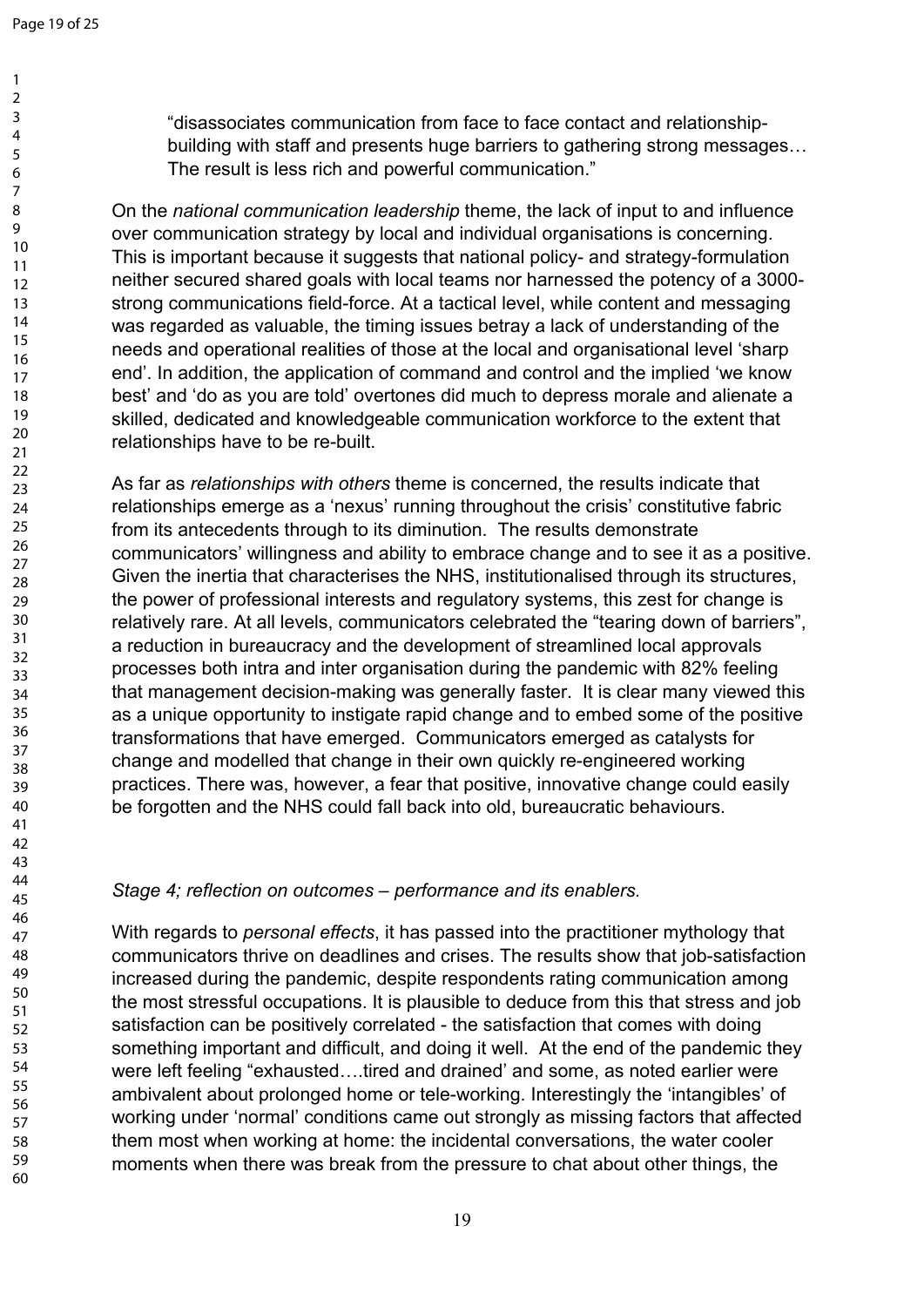"disassociates communication from face to face contact and relationshipbuilding with staff and presents huge barriers to gathering strong messages… The result is less rich and powerful communication."

On the *national communication leadership* theme, the lack of input to and influence over communication strategy by local and individual organisations is concerning. This is important because it suggests that national policy- and strategy-formulation neither secured shared goals with local teams nor harnessed the potency of a 3000 strong communications field-force. At a tactical level, while content and messaging was regarded as valuable, the timing issues betray a lack of understanding of the needs and operational realities of those at the local and organisational level 'sharp end'. In addition, the application of command and control and the implied 'we know best' and 'do as you are told' overtones did much to depress morale and alienate a skilled, dedicated and knowledgeable communication workforce to the extent that relationships have to be re-built.

As far as *relationships with others* theme is concerned, the results indicate that relationships emerge as a 'nexus' running throughout the crisis' constitutive fabric from its antecedents through to its diminution. The results demonstrate communicators' willingness and ability to embrace change and to see it as a positive. Given the inertia that characterises the NHS, institutionalised through its structures, the power of professional interests and regulatory systems, this zest for change is relatively rare. At all levels, communicators celebrated the "tearing down of barriers", a reduction in bureaucracy and the development of streamlined local approvals processes both intra and inter organisation during the pandemic with 82% feeling that management decision-making was generally faster. It is clear many viewed this as a unique opportunity to instigate rapid change and to embed some of the positive transformations that have emerged. Communicators emerged as catalysts for change and modelled that change in their own quickly re-engineered working practices. There was, however, a fear that positive, innovative change could easily be forgotten and the NHS could fall back into old, bureaucratic behaviours.

## *Stage 4; reflection on outcomes – performance and its enablers.*

With regards to *personal effects*, it has passed into the practitioner mythology that communicators thrive on deadlines and crises. The results show that job-satisfaction increased during the pandemic, despite respondents rating communication among the most stressful occupations. It is plausible to deduce from this that stress and job satisfaction can be positively correlated - the satisfaction that comes with doing something important and difficult, and doing it well. At the end of the pandemic they were left feeling "exhausted….tired and drained' and some, as noted earlier were ambivalent about prolonged home or tele-working. Interestingly the 'intangibles' of working under 'normal' conditions came out strongly as missing factors that affected them most when working at home: the incidental conversations, the water cooler moments when there was break from the pressure to chat about other things, the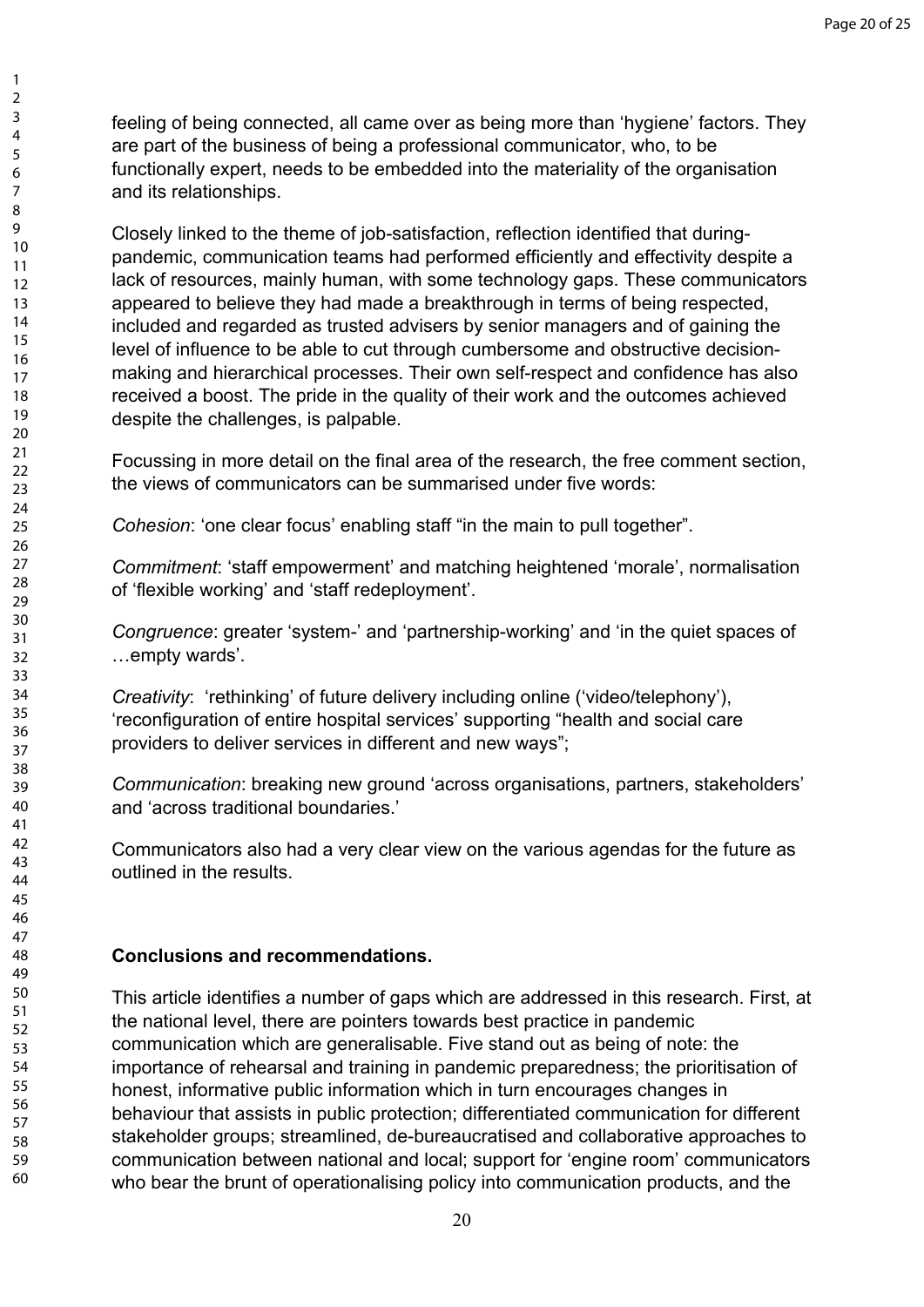feeling of being connected, all came over as being more than 'hygiene' factors. They are part of the business of being a professional communicator, who, to be functionally expert, needs to be embedded into the materiality of the organisation and its relationships.

Closely linked to the theme of job-satisfaction, reflection identified that duringpandemic, communication teams had performed efficiently and effectivity despite a lack of resources, mainly human, with some technology gaps. These communicators appeared to believe they had made a breakthrough in terms of being respected, included and regarded as trusted advisers by senior managers and of gaining the level of influence to be able to cut through cumbersome and obstructive decisionmaking and hierarchical processes. Their own self-respect and confidence has also received a boost. The pride in the quality of their work and the outcomes achieved despite the challenges, is palpable.

Focussing in more detail on the final area of the research, the free comment section, the views of communicators can be summarised under five words:

*Cohesion*: 'one clear focus' enabling staff "in the main to pull together".

*Commitment*: 'staff empowerment' and matching heightened 'morale', normalisation of 'flexible working' and 'staff redeployment'.

*Congruence*: greater 'system-' and 'partnership-working' and 'in the quiet spaces of …empty wards'.

*Creativity*: 'rethinking' of future delivery including online ('video/telephony'), 'reconfiguration of entire hospital services' supporting "health and social care providers to deliver services in different and new ways";

*Communication*: breaking new ground 'across organisations, partners, stakeholders' and 'across traditional boundaries.'

Communicators also had a very clear view on the various agendas for the future as outlined in the results.

# **Conclusions and recommendations.**

This article identifies a number of gaps which are addressed in this research. First, at the national level, there are pointers towards best practice in pandemic communication which are generalisable. Five stand out as being of note: the importance of rehearsal and training in pandemic preparedness; the prioritisation of honest, informative public information which in turn encourages changes in behaviour that assists in public protection; differentiated communication for different stakeholder groups; streamlined, de-bureaucratised and collaborative approaches to communication between national and local; support for 'engine room' communicators who bear the brunt of operationalising policy into communication products, and the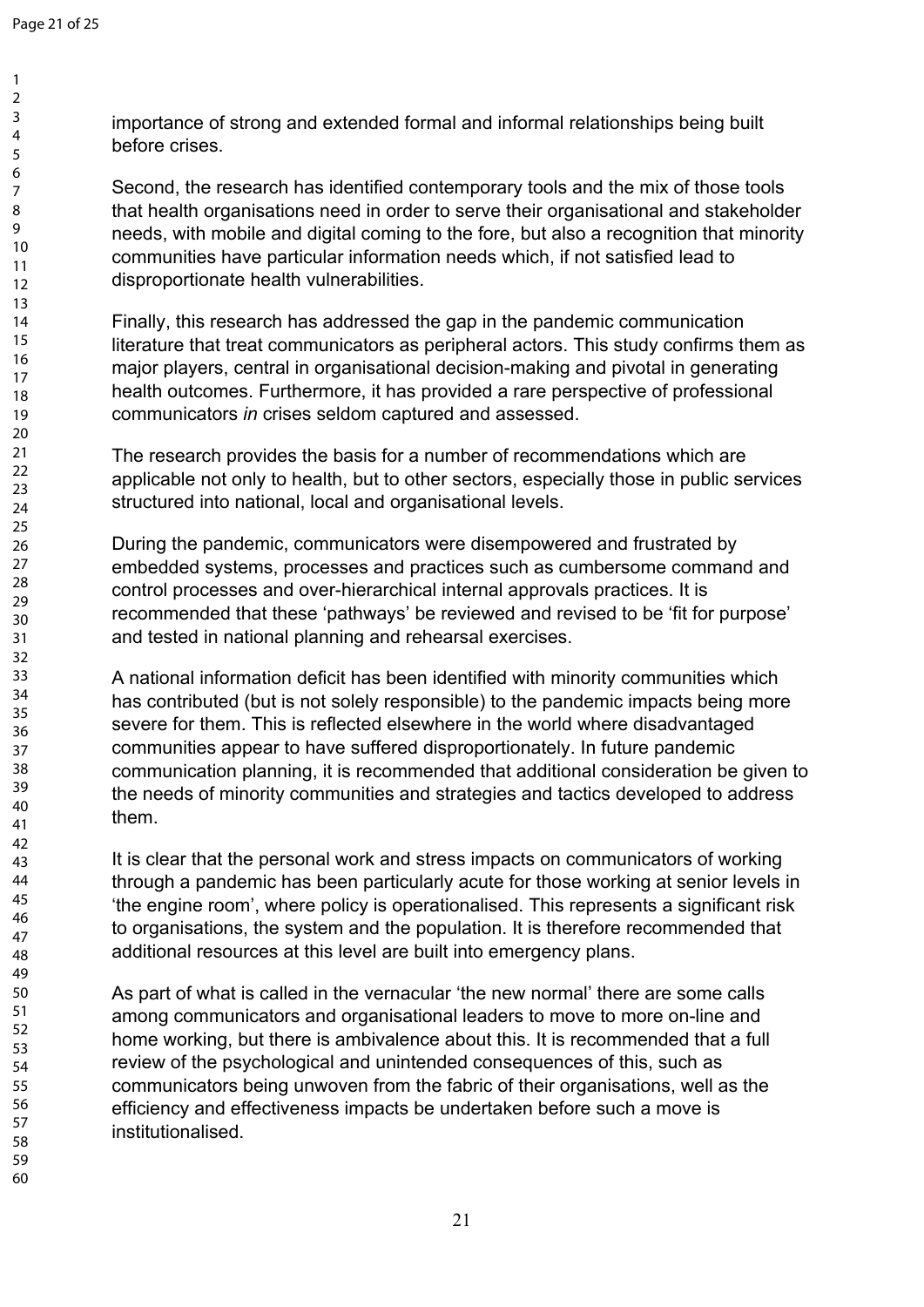importance of strong and extended formal and informal relationships being built before crises.

Second, the research has identified contemporary tools and the mix of those tools that health organisations need in order to serve their organisational and stakeholder needs, with mobile and digital coming to the fore, but also a recognition that minority communities have particular information needs which, if not satisfied lead to disproportionate health vulnerabilities.

Finally, this research has addressed the gap in the pandemic communication literature that treat communicators as peripheral actors. This study confirms them as major players, central in organisational decision-making and pivotal in generating health outcomes. Furthermore, it has provided a rare perspective of professional communicators *in* crises seldom captured and assessed.

The research provides the basis for a number of recommendations which are applicable not only to health, but to other sectors, especially those in public services structured into national, local and organisational levels.

During the pandemic, communicators were disempowered and frustrated by embedded systems, processes and practices such as cumbersome command and control processes and over-hierarchical internal approvals practices. It is recommended that these 'pathways' be reviewed and revised to be 'fit for purpose' and tested in national planning and rehearsal exercises.

A national information deficit has been identified with minority communities which has contributed (but is not solely responsible) to the pandemic impacts being more severe for them. This is reflected elsewhere in the world where disadvantaged communities appear to have suffered disproportionately. In future pandemic communication planning, it is recommended that additional consideration be given to the needs of minority communities and strategies and tactics developed to address them.

It is clear that the personal work and stress impacts on communicators of working through a pandemic has been particularly acute for those working at senior levels in 'the engine room', where policy is operationalised. This represents a significant risk to organisations, the system and the population. It is therefore recommended that additional resources at this level are built into emergency plans.

As part of what is called in the vernacular 'the new normal' there are some calls among communicators and organisational leaders to move to more on-line and home working, but there is ambivalence about this. It is recommended that a full review of the psychological and unintended consequences of this, such as communicators being unwoven from the fabric of their organisations, well as the efficiency and effectiveness impacts be undertaken before such a move is institutionalised.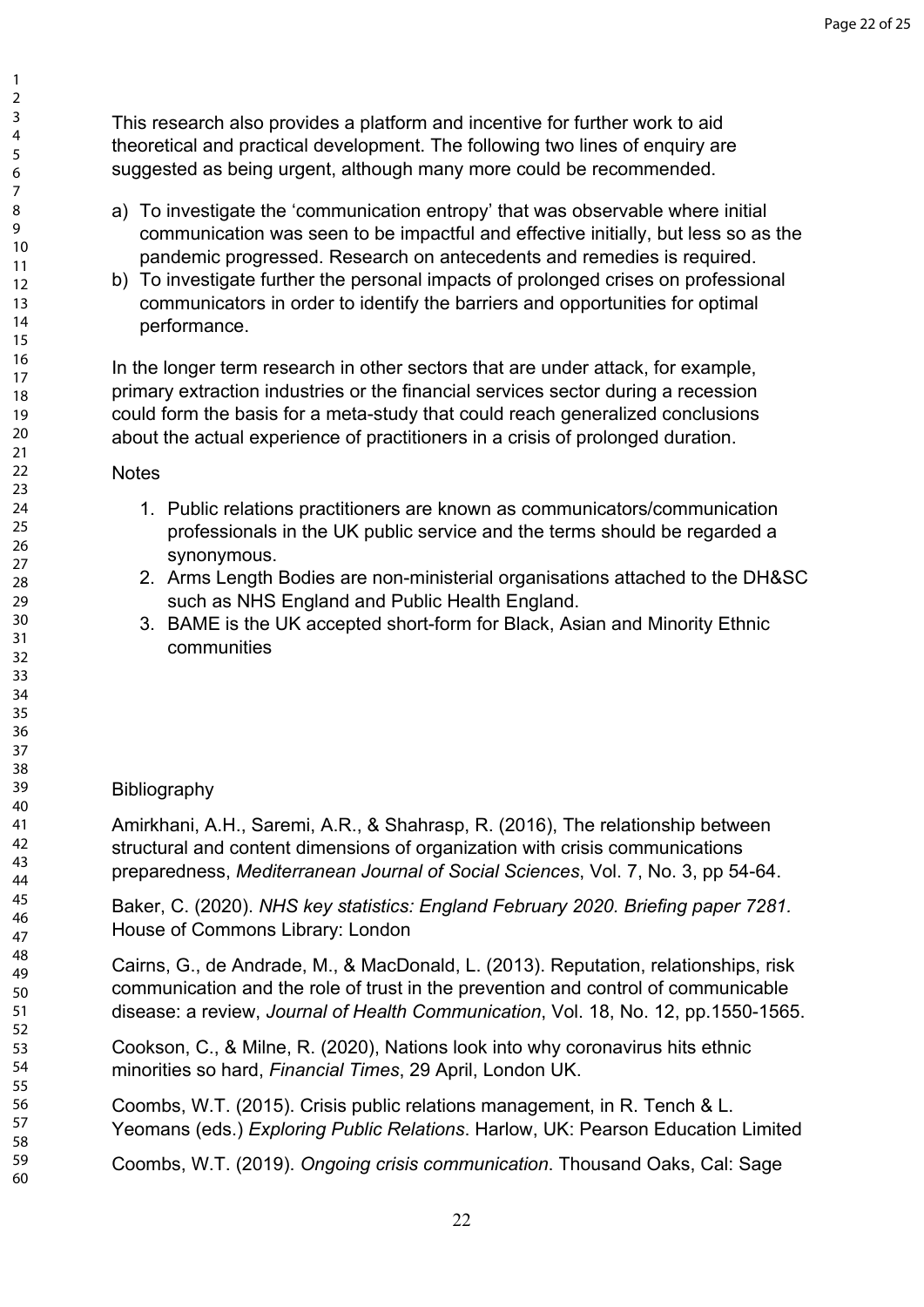This research also provides a platform and incentive for further work to aid theoretical and practical development. The following two lines of enquiry are suggested as being urgent, although many more could be recommended.

- a) To investigate the 'communication entropy' that was observable where initial communication was seen to be impactful and effective initially, but less so as the pandemic progressed. Research on antecedents and remedies is required.
- b) To investigate further the personal impacts of prolonged crises on professional communicators in order to identify the barriers and opportunities for optimal performance.

In the longer term research in other sectors that are under attack, for example, primary extraction industries or the financial services sector during a recession could form the basis for a meta-study that could reach generalized conclusions about the actual experience of practitioners in a crisis of prolonged duration.

## **Notes**

- 1. Public relations practitioners are known as communicators/communication professionals in the UK public service and the terms should be regarded a synonymous.
- 2. Arms Length Bodies are non-ministerial organisations attached to the DH&SC such as NHS England and Public Health England.
- 3. BAME is the UK accepted short-form for Black, Asian and Minority Ethnic communities

# **Bibliography**

Amirkhani, A.H., Saremi, A.R., & Shahrasp, R. (2016), The relationship between structural and content dimensions of organization with crisis communications preparedness, *Mediterranean Journal of Social Sciences*, Vol. 7, No. 3, pp 54-64.

Baker, C. (2020). *NHS key statistics: England February 2020. Briefing paper 7281.* House of Commons Library: London

Cairns, G., de Andrade, M., & MacDonald, L. (2013). Reputation, relationships, risk communication and the role of trust in the prevention and control of communicable disease: a review, *Journal of Health Communication*, Vol. 18, No. 12, pp.1550-1565.

Cookson, C., & Milne, R. (2020), Nations look into why coronavirus hits ethnic minorities so hard, *Financial Times*, 29 April, London UK.

Coombs, W.T. (2015). Crisis public relations management, in R. Tench & L. Yeomans (eds.) *Exploring Public Relations*. Harlow, UK: Pearson Education Limited

Coombs, W.T. (2019). *Ongoing crisis communication*. Thousand Oaks, Cal: Sage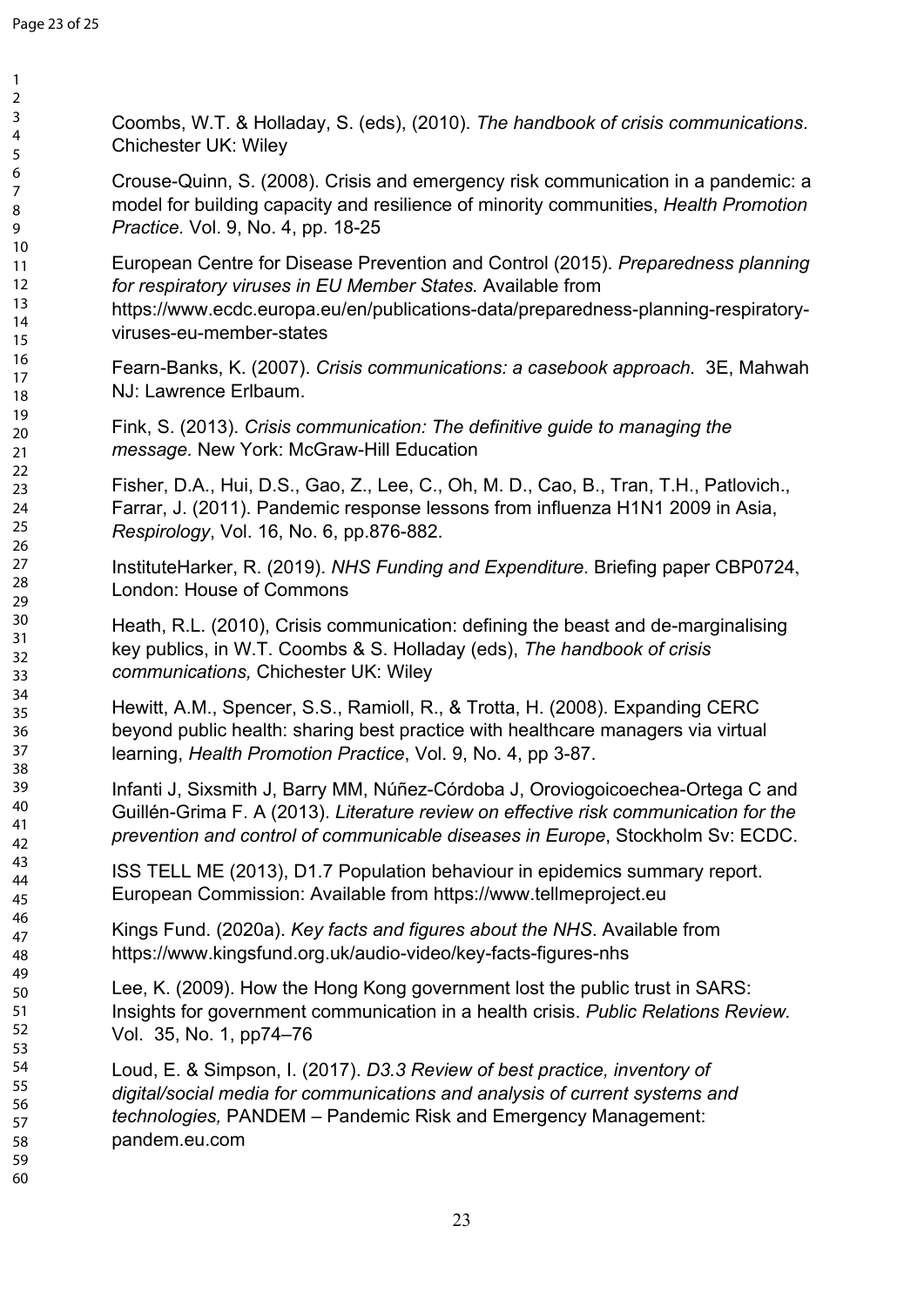Coombs, W.T. & Holladay, S. (eds), (2010). *The handbook of crisis communications*. Chichester UK: Wiley

Crouse-Quinn, S. (2008). Crisis and emergency risk communication in a pandemic: a model for building capacity and resilience of minority communities, *Health Promotion Practice.* Vol. 9, No. 4, pp. 18-25

European Centre for Disease Prevention and Control (2015). *Preparedness planning for respiratory viruses in EU Member States.* Available from https://www.ecdc.europa.eu/en/publications-data/preparedness-planning-respiratoryviruses-eu-member-states

Fearn-Banks, K. (2007). *Crisis communications: a casebook approach.* 3E, Mahwah NJ: Lawrence Erlbaum.

Fink, S. (2013). *Crisis communication: The definitive guide to managing the message.* New York: McGraw-Hill Education

Fisher, D.A., Hui, D.S., Gao, Z., Lee, C., Oh, M. D., Cao, B., Tran, T.H., Patlovich., Farrar, J. (2011). Pandemic response lessons from influenza H1N1 2009 in Asia, *Respirology*, Vol. 16, No. 6, pp.876-882.

InstituteHarker, R. (2019). *NHS Funding and Expenditure*. Briefing paper CBP0724, London: House of Commons

Heath, R.L. (2010), Crisis communication: defining the beast and de-marginalising key publics, in W.T. Coombs & S. Holladay (eds), *The handbook of crisis communications,* Chichester UK: Wiley

Hewitt, A.M., Spencer, S.S., Ramioll, R., & Trotta, H. (2008). Expanding CERC beyond public health: sharing best practice with healthcare managers via virtual learning, *Health Promotion Practice*, Vol. 9, No. 4, pp 3-87.

Infanti J, Sixsmith J, Barry MM, Núñez-Córdoba J, Oroviogoicoechea-Ortega C and Guillén-Grima F. A (2013). *Literature review on effective risk communication for the prevention and control of communicable diseases in Europe*, Stockholm Sv: ECDC.

ISS TELL ME (2013), D1.7 Population behaviour in epidemics summary report. European Commission: Available from https://www.tellmeproject.eu

Kings Fund. (2020a). *Key facts and figures about the NHS*. Available from https://www.kingsfund.org.uk/audio-video/key-facts-figures-nhs

Lee, K. (2009). How the Hong Kong government lost the public trust in SARS: Insights for government communication in a health crisis. *Public Relations Review.* Vol. 35, No. 1, pp74–76

Loud, E. & Simpson, I. (2017). *D3.3 Review of best practice, inventory of digital/social media for communications and analysis of current systems and technologies,* PANDEM – Pandemic Risk and Emergency Management: pandem.eu.com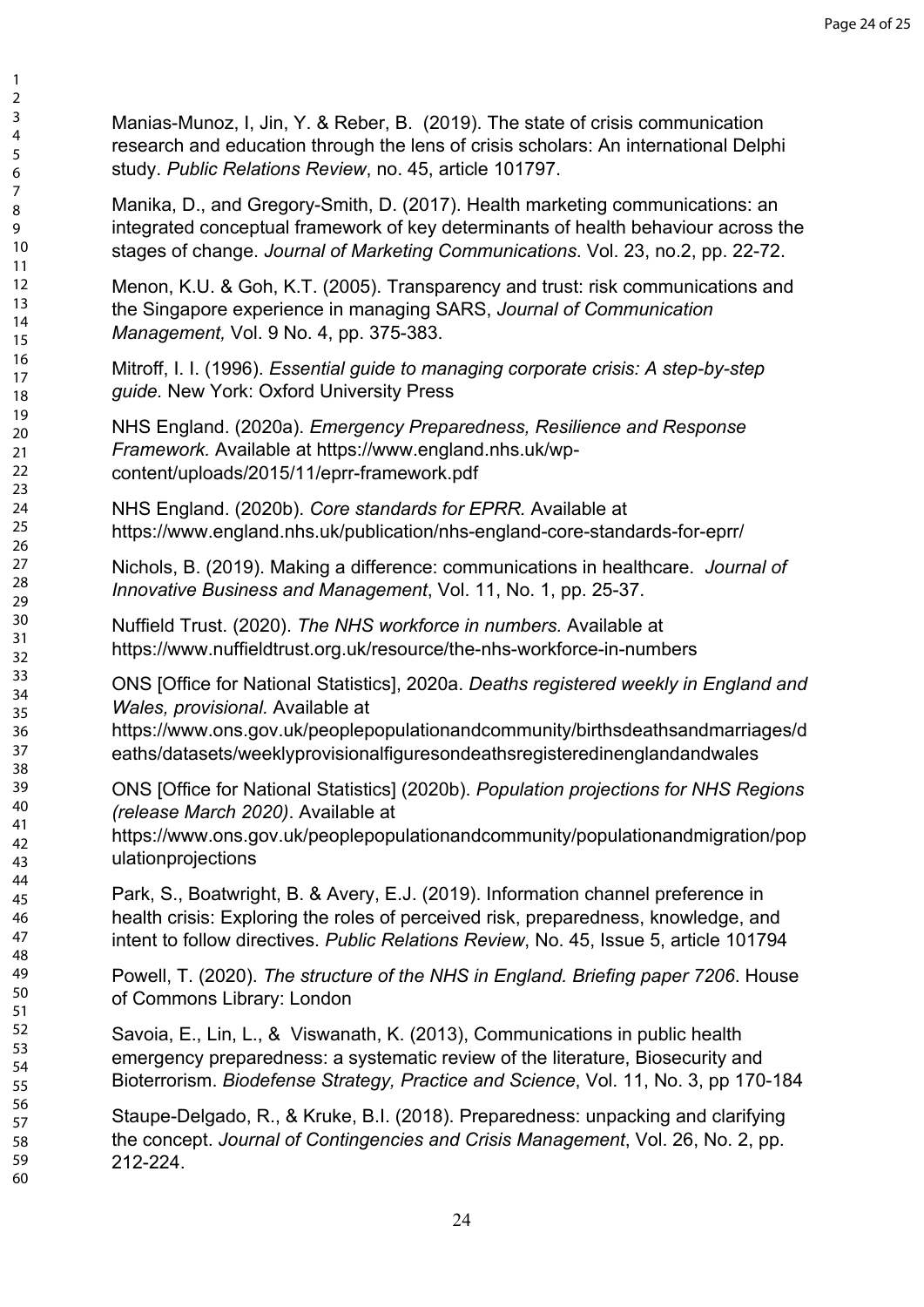Manias-Munoz, I, Jin, Y. & Reber, B. (2019). The state of crisis communication research and education through the lens of crisis scholars: An international Delphi study. *Public Relations Review*, no. 45, article 101797.

Manika, D., and Gregory-Smith, D. (2017). Health marketing communications: an integrated conceptual framework of key determinants of health behaviour across the stages of change. *Journal of Marketing Communications*. Vol. 23, no.2, pp. 22-72.

Menon, K.U. & Goh, K.T. (2005). Transparency and trust: risk communications and the Singapore experience in managing SARS, *Journal of Communication Management,* Vol. 9 No. 4, pp. 375-383.

Mitroff, I. I. (1996). *Essential guide to managing corporate crisis: A step-by-step guide.* New York: Oxford University Press

NHS England. (2020a). *Emergency Preparedness, Resilience and Response Framework.* Available at https://www.england.nhs.uk/wpcontent/uploads/2015/11/eprr-framework.pdf

NHS England. (2020b). *Core standards for EPRR.* Available at https://www.england.nhs.uk/publication/nhs-england-core-standards-for-eprr/

Nichols, B. (2019). Making a difference: communications in healthcare. *Journal of Innovative Business and Management*, Vol. 11, No. 1, pp. 25-37.

Nuffield Trust. (2020). *The NHS workforce in numbers.* Available at https://www.nuffieldtrust.org.uk/resource/the-nhs-workforce-in-numbers

ONS [Office for National Statistics], 2020a. *Deaths registered weekly in England and Wales, provisional.* Available at

https://www.ons.gov.uk/peoplepopulationandcommunity/birthsdeathsandmarriages/d eaths/datasets/weeklyprovisionalfiguresondeathsregisteredinenglandandwales

ONS [Office for National Statistics] (2020b). *Population projections for NHS Regions (release March 2020)*. Available at

https://www.ons.gov.uk/peoplepopulationandcommunity/populationandmigration/pop ulationprojections

Park, S., Boatwright, B. & Avery, E.J. (2019). Information channel preference in health crisis: Exploring the roles of perceived risk, preparedness, knowledge, and intent to follow directives. *Public Relations Review*, No. 45, Issue 5, article 101794

Powell, T. (2020). *The structure of the NHS in England. Briefing paper 7206*. House of Commons Library: London

Savoia, E., Lin, L., & Viswanath, K. (2013), Communications in public health emergency preparedness: a systematic review of the literature, Biosecurity and Bioterrorism. *Biodefense Strategy, Practice and Science*, Vol. 11, No. 3, pp 170-184

Staupe-Delgado, R., & Kruke, B.I. (2018). Preparedness: unpacking and clarifying the concept. *Journal of Contingencies and Crisis Management*, Vol. 26, No. 2, pp. 212-224.